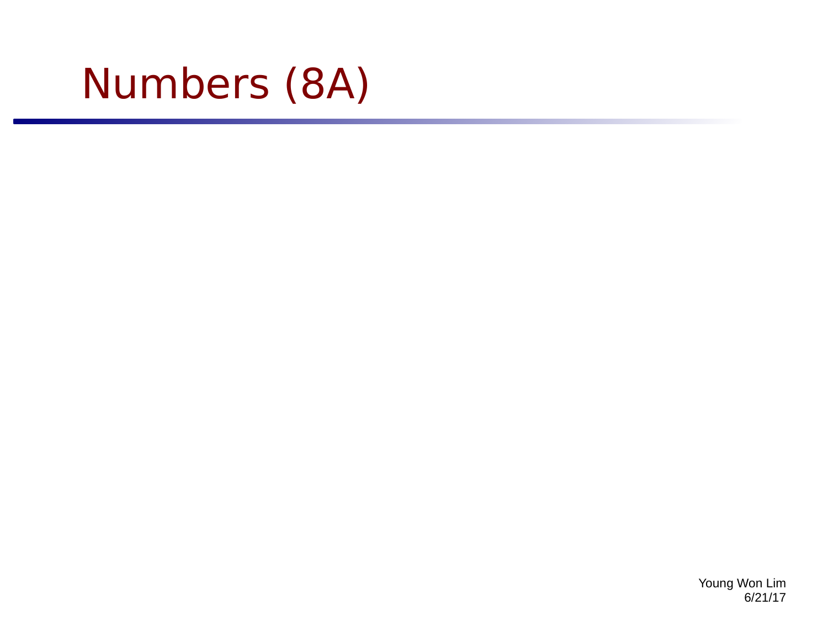# Numbers (8A)

Young Won Lim 6/21/17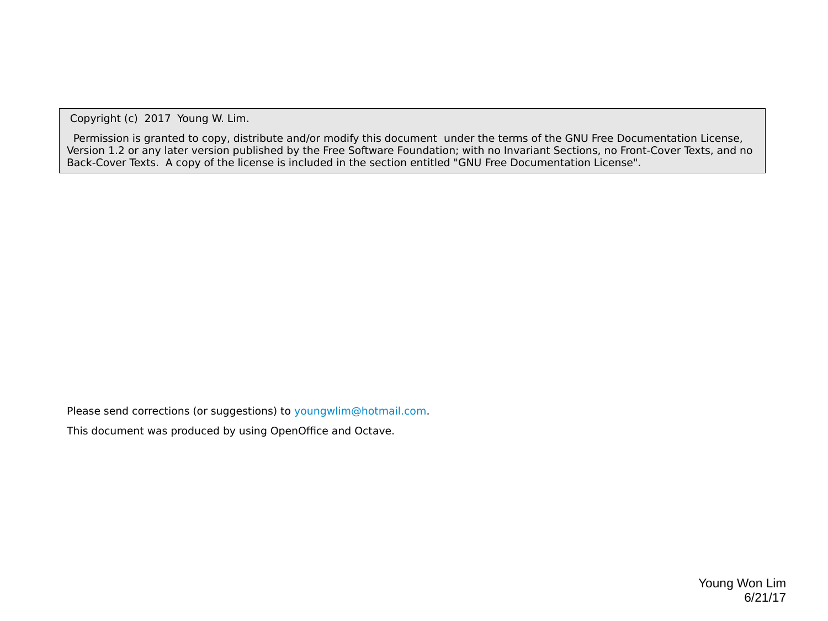Copyright (c) 2017 Young W. Lim.

 Permission is granted to copy, distribute and/or modify this document under the terms of the GNU Free Documentation License, Version 1.2 or any later version published by the Free Software Foundation; with no Invariant Sections, no Front-Cover Texts, and no Back-Cover Texts. A copy of the license is included in the section entitled "GNU Free Documentation License".

Please send corrections (or suggestions) to [youngwlim@hotmail.com](mailto:youngwlim@hotmail.com).

This document was produced by using OpenOffice and Octave.

Young Won Lim 6/21/17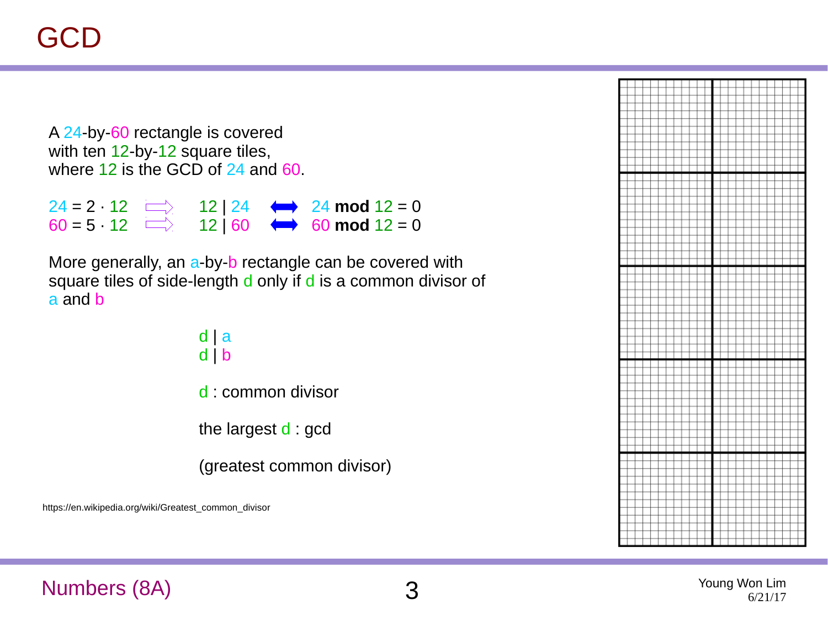A 24-by-60 rectangle is covered with ten 12-by-12 square tiles, where 12 is the GCD of 24 and 60.

 $24 = 2 \cdot 12 \implies 12 \mid 24 \iff 24 \mod 12 = 0$  $60 = 5 \cdot 12 \implies 12 | 60 \iff 60 \mod 12 = 0$ 

More generally, an a-by-b rectangle can be covered with square tiles of side-length d only if d is a common divisor of a and b

> d | a d | b d : common divisor

the largest d : gcd

(greatest common divisor)

https://en.wikipedia.org/wiki/Greatest\_common\_divisor

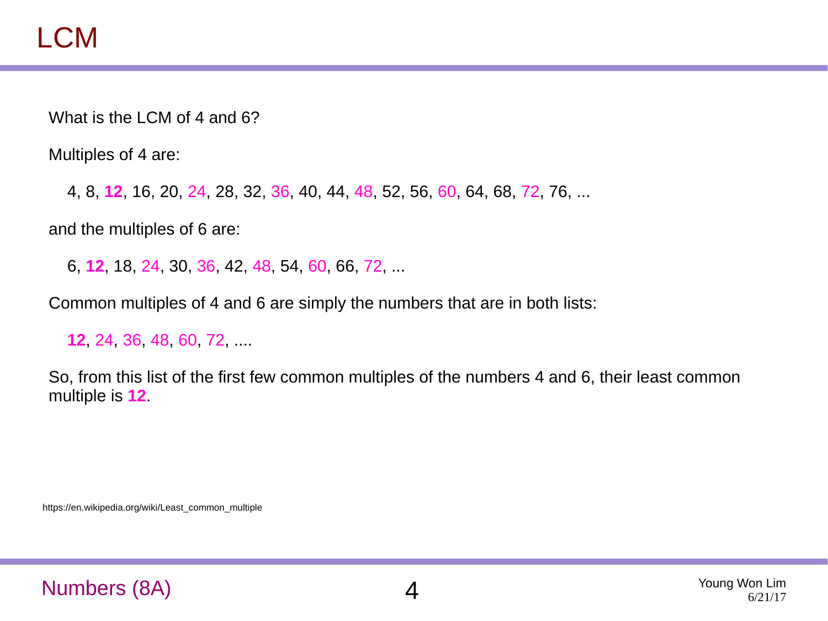What is the LCM of 4 and 6?

Multiples of 4 are:

4, 8, **12**, 16, 20, 24, 28, 32, 36, 40, 44, 48, 52, 56, 60, 64, 68, 72, 76, ...

and the multiples of 6 are:

6, **12**, 18, 24, 30, 36, 42, 48, 54, 60, 66, 72, ...

Common multiples of 4 and 6 are simply the numbers that are in both lists:

**12**, 24, 36, 48, 60, 72, ....

So, from this list of the first few common multiples of the numbers 4 and 6, their least common multiple is **12**.

https://en.wikipedia.org/wiki/Least\_common\_multiple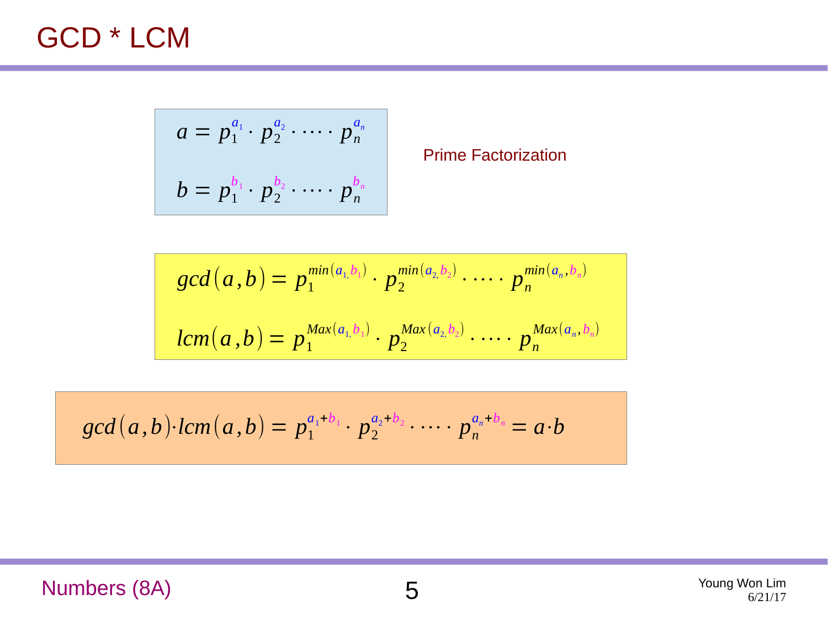#### GCD \* LCM

$$
a = p_1^{a_1} \cdot p_2^{a_2} \cdot \cdots \cdot p_n^{a_n}
$$
  

$$
b = p_1^{b_1} \cdot p_2^{b_2} \cdot \cdots \cdot p_n^{b_n}
$$

Prime Factorization

$$
gcd(a, b) = p_1^{\min(a_1, b_1)} \cdot p_2^{\min(a_2, b_2)} \cdot \dots \cdot p_n^{\min(a_n, b_n)}
$$
  

$$
lcm(a, b) = p_1^{\max(a_1, b_1)} \cdot p_2^{\max(a_2, b_2)} \cdot \dots \cdot p_n^{\max(a_n, b_n)}
$$

$$
gcd(a,b)\cdot lcm(a,b)=p_1^{a_1+b_1}\cdot p_2^{a_2+b_2}\cdot \cdots \cdot p_n^{a_n+b_n}=a\cdot b
$$

#### Numbers (8A) 5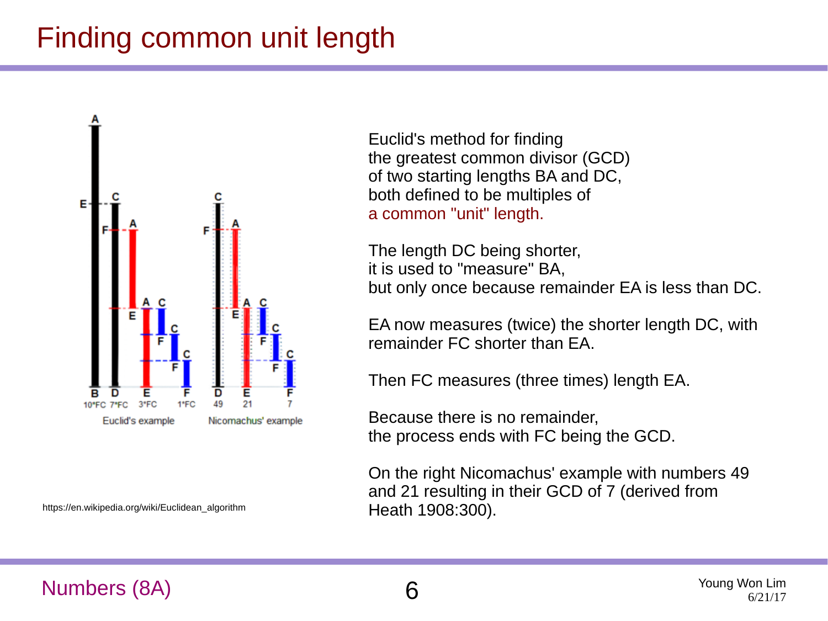# Finding common unit length



Euclid's method for finding the greatest common divisor (GCD) of two starting lengths BA and DC, both defined to be multiples of a common "unit" length.

The length DC being shorter, it is used to "measure" BA, but only once because remainder EA is less than DC.

EA now measures (twice) the shorter length DC, with remainder FC shorter than EA.

Then FC measures (three times) length EA.

Because there is no remainder, the process ends with FC being the GCD.

On the right Nicomachus' example with numbers 49 and 21 resulting in their GCD of 7 (derived from Heath 1908:300).

https://en.wikipedia.org/wiki/Euclidean\_algorithm

#### Numbers (8A) 6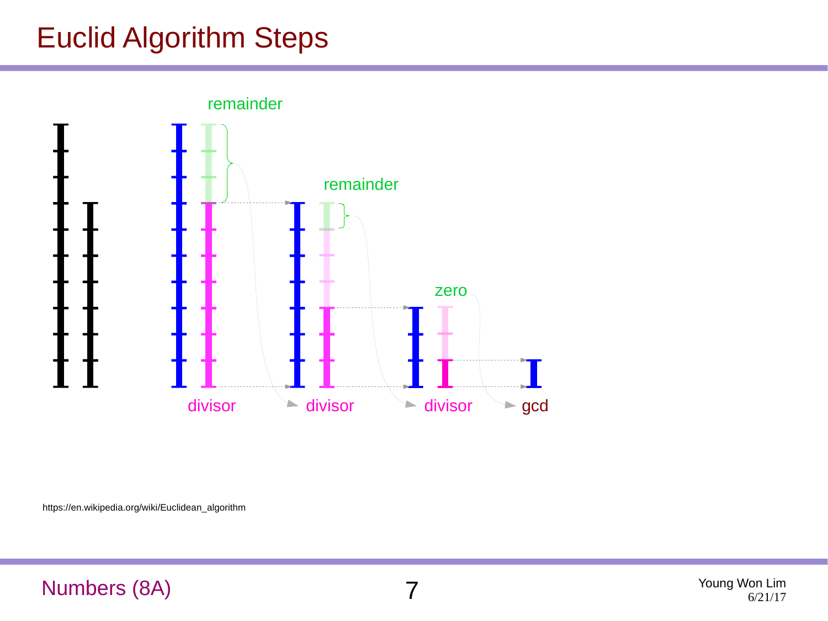# Euclid Algorithm Steps

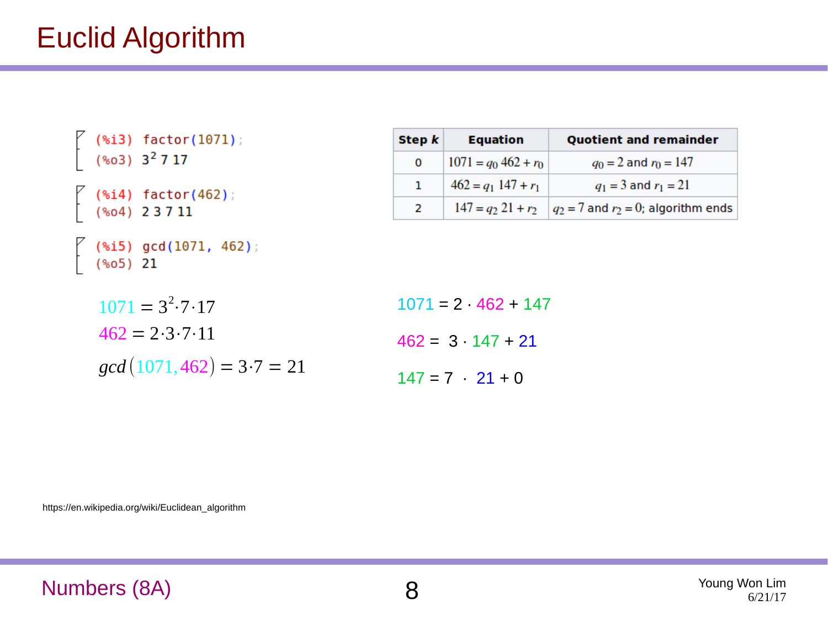# Euclid Algorithm

|  | (%i3) factor(1071);<br>(%o3) 3 <sup>2</sup> 7 17                                                   |
|--|----------------------------------------------------------------------------------------------------|
|  | $\left\{\n\begin{array}{cc}\n(3.14) & \text{factor}(462) \\ (3.04) & 23711\n\end{array}\n\right\}$ |
|  | $($ (%i5) gcd(1071, 462);<br>(%o5) 21                                                              |
|  | $1071 = 3^2 \cdot 7 \cdot 17$<br>$462 = 2.3 \cdot 7.11$                                            |

$$
gcd(1071, 462) = 3 \cdot 7 = 21
$$

| Step k | <b>Equation</b>        | <b>Quotient and remainder</b>            |
|--------|------------------------|------------------------------------------|
| 0      | $1071 = q_0 462 + r_0$ | $q_0 = 2$ and $r_0 = 147$                |
| 1      | $462 = q_1 147 + r_1$  | $q_1 = 3$ and $r_1 = 21$                 |
| 2      | $147 = q_2 21 + r_2$   | $q_2 = 7$ and $r_2 = 0$ ; algorithm ends |

 $1071 = 2 \cdot 462 + 147$  $462 = 3 \cdot 147 + 21$  $147 = 7$   $21 + 0$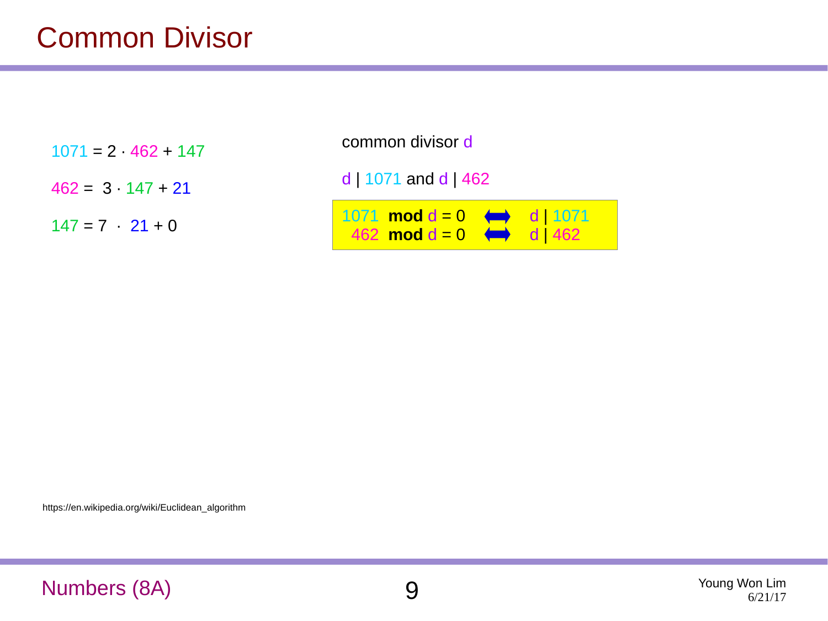#### Common Divisor

 $1071 = 2 \cdot 462 + 147$ 

 $462 = 3 \cdot 147 + 21$ 

 $147 = 7$   $21 + 0$ 

common divisor d

d | 1071 and d | 462

| 1071 <b>mod</b> $d = 0$ $\iff$ <b>d</b>   1071 |  |  |
|------------------------------------------------|--|--|
| 462 <b>mod</b> $d = 0$ $\iff$ d 462            |  |  |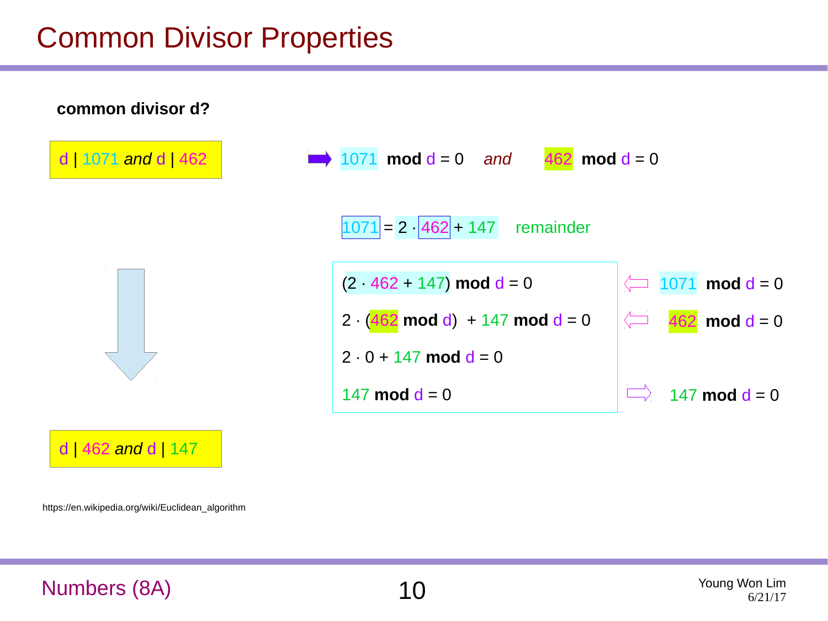#### Common Divisor Properties

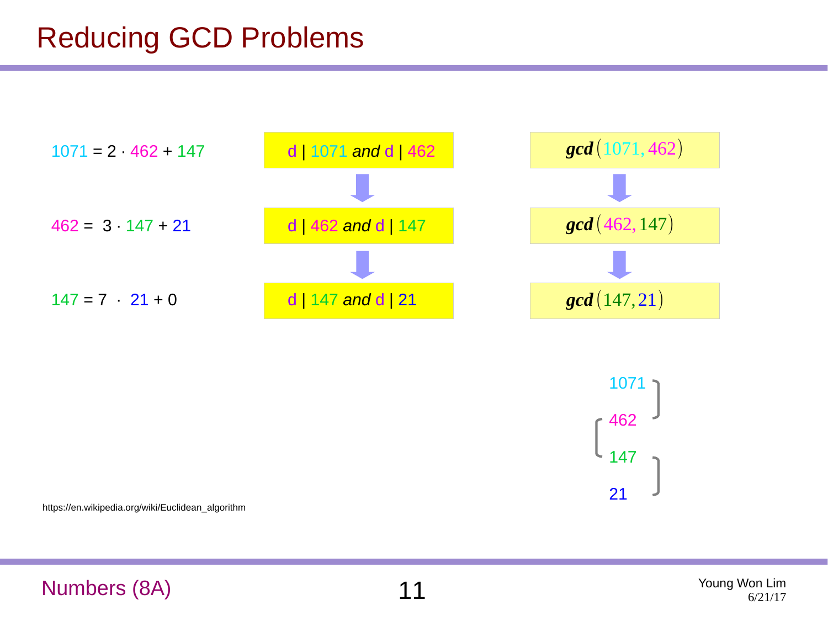# Reducing GCD Problems





https://en.wikipedia.org/wiki/Euclidean\_algorithm

#### Numbers (8A) 21 Young Won Lim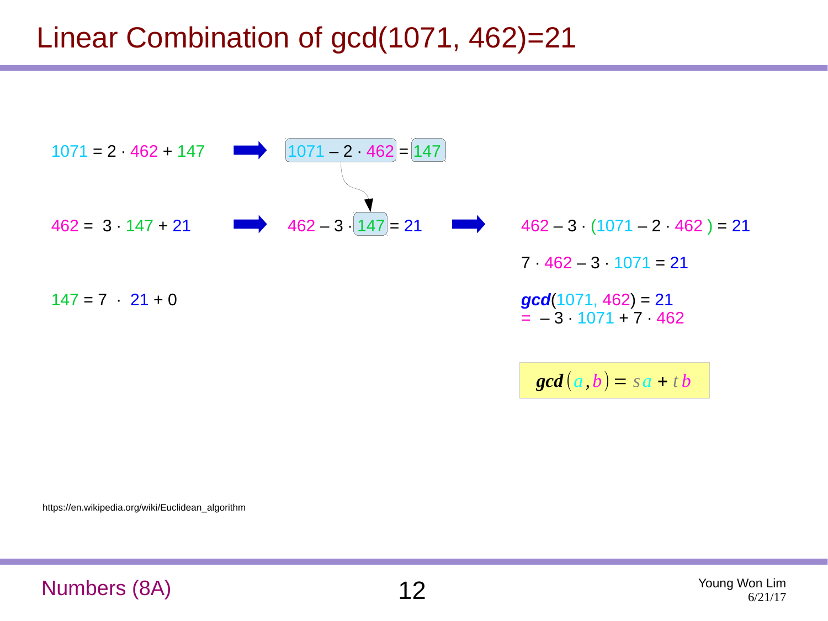# Linear Combination of gcd(1071, 462)=21



https://en.wikipedia.org/wiki/Euclidean\_algorithm

Numbers (8A) 2<br>
2<sup>Young Won Lim</sup>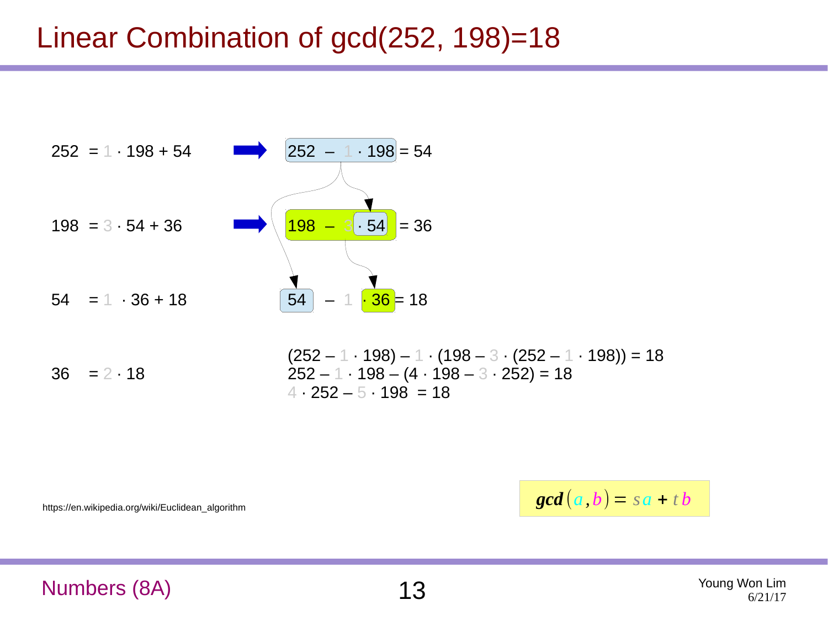### Linear Combination of gcd(252, 198)=18



https://en.wikipedia.org/wiki/Euclidean\_algorithm

 $\textbf{gcd}(a, b) = sa + tb$ 

Numbers (8A) 13 Young Won Lim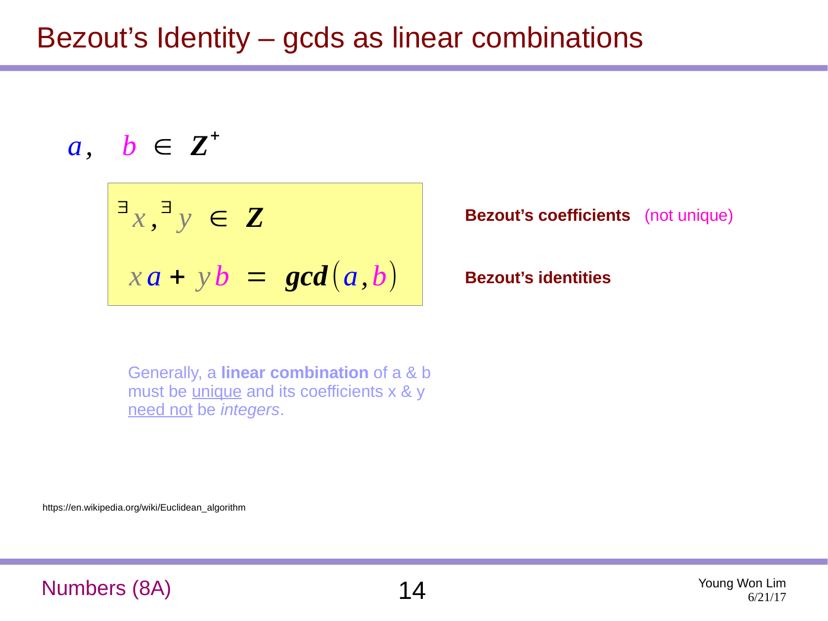## Bezout's Identity – gcds as linear combinations

$$
a, b \in \mathbf{Z}^*
$$

$$
x^{\exists}x, y \in Z
$$
  
 
$$
xa + yb = gcd(a, b)
$$

**Bezout's coefficients** (not unique)

**Bezout's identities**

Generally, a **linear combination** of a & b must be *unique* and its coefficients x & y need not be *integers*.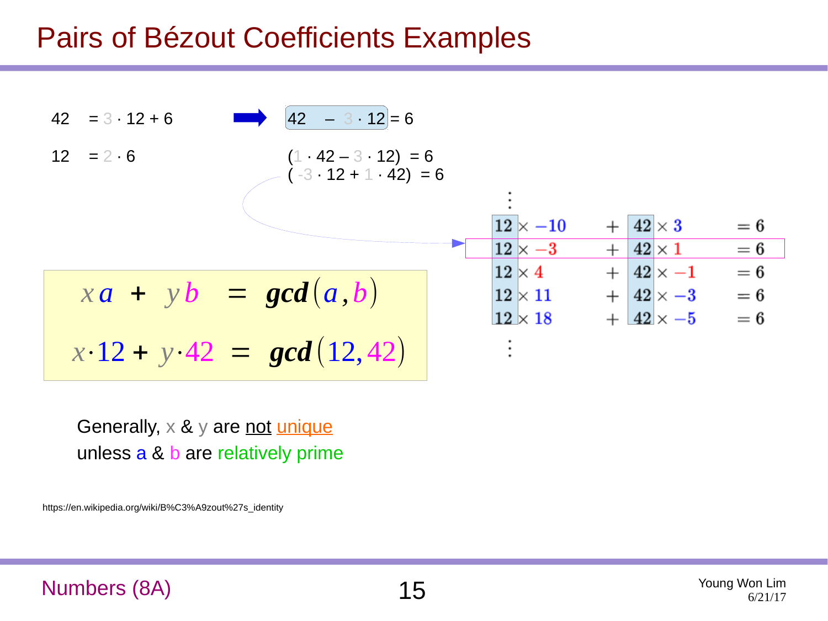#### Pairs of Bézout Coefficients Examples



Generally,  $\times$  &  $\times$  are not unique unless a & b are relatively prime

https://en.wikipedia.org/wiki/B%C3%A9zout%27s\_identity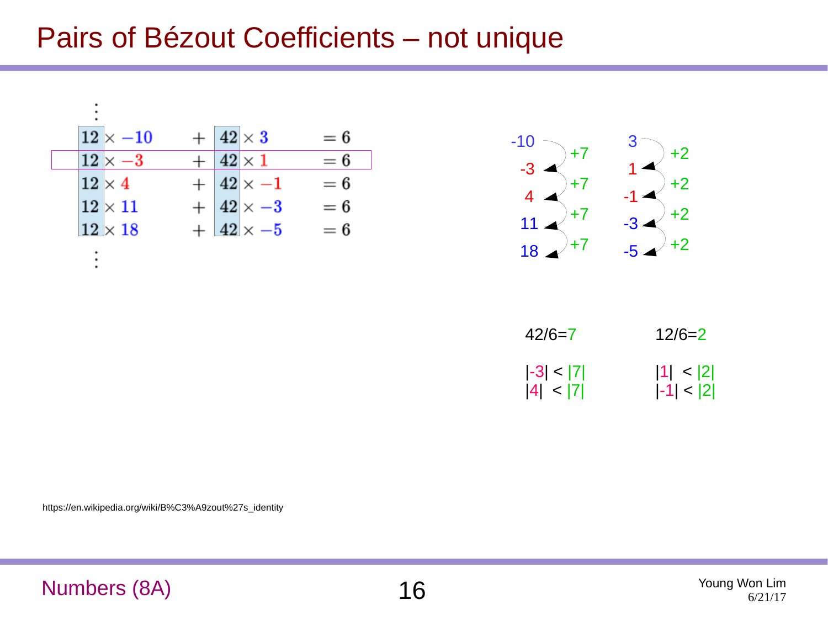#### Pairs of Bézout Coefficients – not unique



| $42/6=7$     | $12/6=2$     |
|--------------|--------------|
| $ -3  <  7 $ | 1  <  2      |
| 4  <  7      | $ -1  <  2 $ |

https://en.wikipedia.org/wiki/B%C3%A9zout%27s\_identity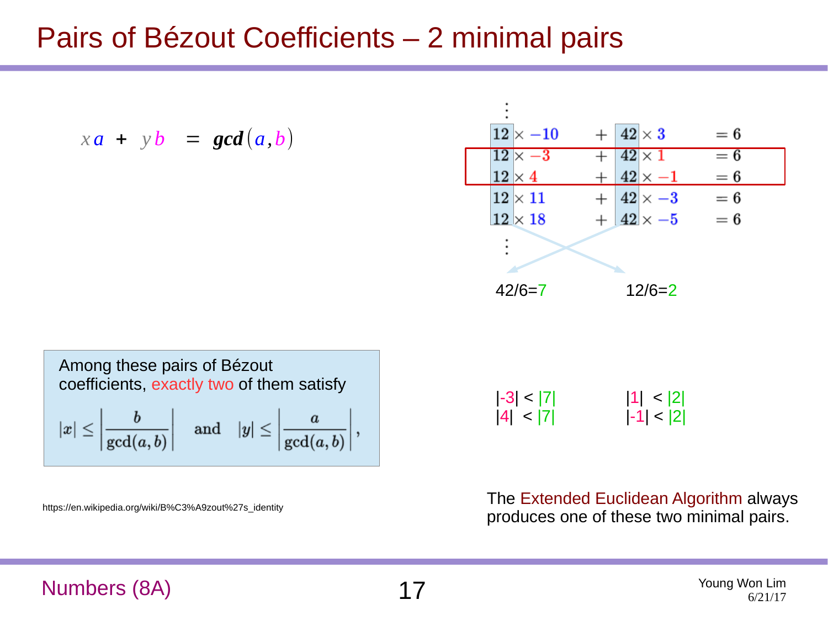### Pairs of Bézout Coefficients – 2 minimal pairs

$$
x\mathbf{a} + y\mathbf{b} = \gcd(a, b)
$$

| $12\times -10$ |  | $ 42  \times 3$    | $=6$  |
|----------------|--|--------------------|-------|
| $12\times -3$  |  | $ 42\times1$       | $= 6$ |
| $12\times 4$   |  | $42\times -1$      | $= 6$ |
| $12\times11$   |  | $42 \times -3$     | $= 6$ |
| $12 \times 18$ |  | $+$ 42 $\times$ -5 | $= 6$ |
|                |  |                    |       |
|                |  |                    |       |
| $42/6=7$       |  | $12/6=2$           |       |

| Among these pairs of Bézout<br>coefficients, exactly two of them satisfy                                      |  |  |  |
|---------------------------------------------------------------------------------------------------------------|--|--|--|
| $ x  \leq \left \frac{b}{\gcd(a,b)}\right  \quad \text{and} \quad  y  \leq \left \frac{a}{\gcd(a,b)}\right ,$ |  |  |  |

https://en.wikipedia.org/wiki/B%C3%A9zout%27s\_identity

|-3| < |7| |4| < |7|  $|1| < |2|$  $|-1| < |2|$ 

The Extended Euclidean Algorithm always produces one of these two minimal pairs.

#### Numbers (8A) 17 Young Won Lim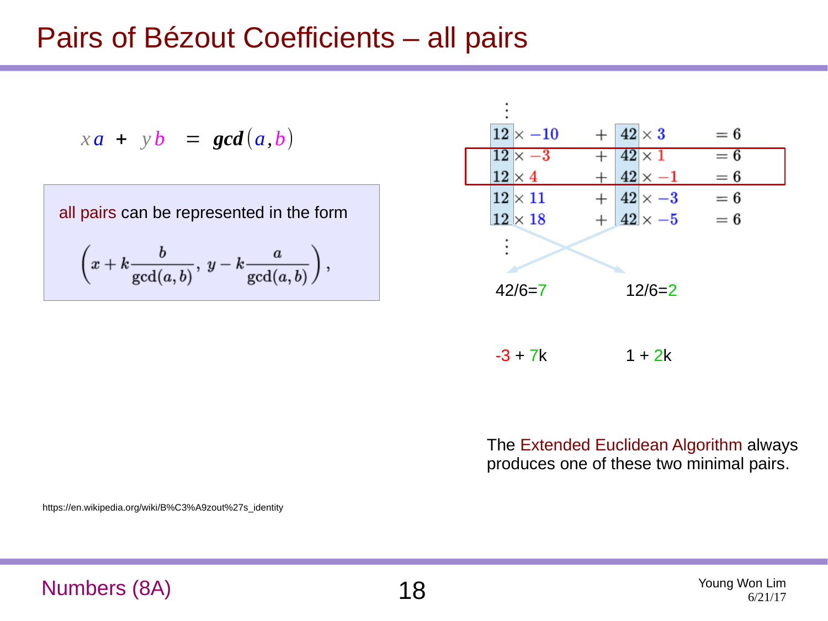#### Pairs of Bézout Coefficients – all pairs

$$
xa + yb = gcd(a,b)
$$

all pairs can be represented in the form  
\n
$$
\left(x + k \frac{b}{\gcd(a, b)}, y - k \frac{a}{\gcd(a, b)}\right),
$$

| $12\times -10$ | $42\times3$        | $=6$  |
|----------------|--------------------|-------|
| $12\times-3$   | $42 \times 1$      | $= 6$ |
| $12\times 4$   | $42 \times -1$     | $= 6$ |
| $12\times11$   | $42 \times -3$     | $= 6$ |
| $12\times18$   | $+$ 42 $\times$ -5 | $= 6$ |
|                |                    |       |
|                |                    |       |
| $42/6=7$       | $12/6=2$           |       |
|                |                    |       |
|                |                    |       |
|                |                    |       |

 $-3 + 7k$  1 + 2k

The Extended Euclidean Algorithm always produces one of these two minimal pairs.

https://en.wikipedia.org/wiki/B%C3%A9zout%27s\_identity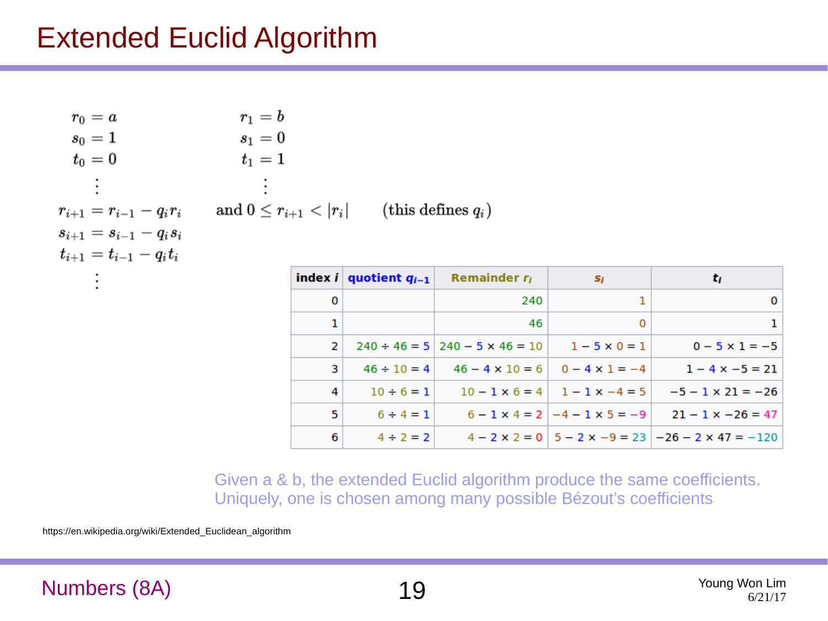#### Extended Euclid Algorithm

| $\bullet$                 | $\bullet$                                          |  |
|---------------------------|----------------------------------------------------|--|
| $r_{i+1}=r_{i-1}-q_i r_i$ | and $0 \leq r_{i+1} <  r_i $ (this defines $q_i$ ) |  |
| $s_{i+1}=s_{i-1}-q_is_i$  |                                                    |  |
|                           |                                                    |  |
| $t_{i+1}=t_{i-1}-q_it_i$  |                                                    |  |

|   | index <i>i</i> quotient $q_{i-1}$ | Remainder $r_i$                               | Si                                            | t,                                                                         |
|---|-----------------------------------|-----------------------------------------------|-----------------------------------------------|----------------------------------------------------------------------------|
| 0 |                                   | 240                                           |                                               | 0                                                                          |
| 1 |                                   | 46                                            | $\Omega$                                      |                                                                            |
| 2 |                                   | $240 \div 46 = 5 \mid 240 - 5 \times 46 = 10$ | $1 - 5 \times 0 = 1$                          | $0 - 5 \times 1 = -5$                                                      |
| 3 | $46 \div 10 = 4$                  |                                               | $46 - 4 \times 10 = 6$ 0 - 4 $\times$ 1 = -4  | $1 - 4 \times -5 = 21$                                                     |
| 4 | $10 \div 6 = 1$                   |                                               | $10 - 1 \times 6 = 4$   $1 - 1 \times -4 = 5$ | $-5 - 1 \times 21 = -26$                                                   |
| 5 | $6 \div 4 = 1$                    |                                               | $6 - 1 \times 4 = 2$   $-4 - 1 \times 5 = -9$ | $21 - 1 \times -26 = 47$                                                   |
| 6 | $4 \div 2 = 2$                    |                                               |                                               | $4 - 2 \times 2 = 0$   5 - 2 $\times$ -9 = 23   -26 - 2 $\times$ 47 = -120 |

Given a & b, the extended Euclid algorithm produce the same coefficients. Uniquely, one is chosen among many possible Bézout's coefficients

https://en.wikipedia.org/wiki/Extended\_Euclidean\_algorithm

#### Numbers (8A) 19 Young Won Lim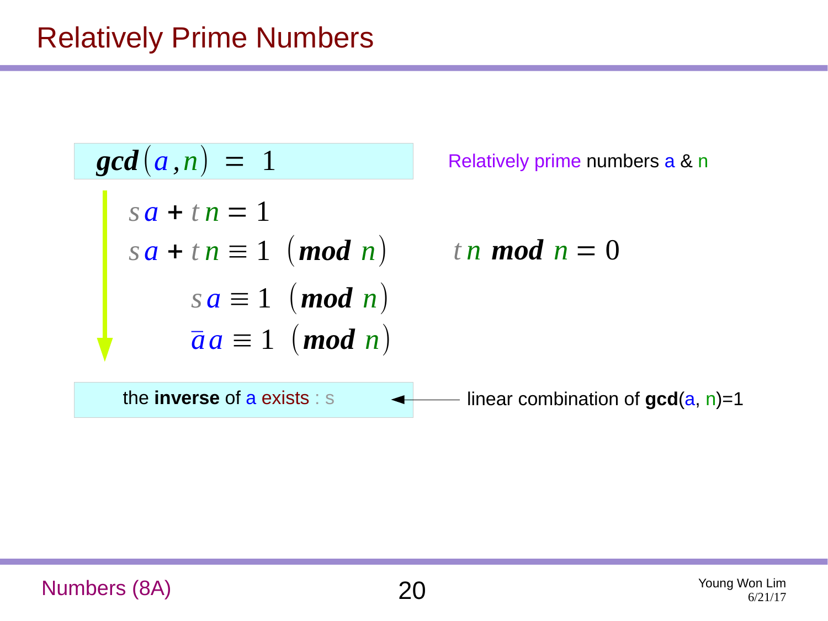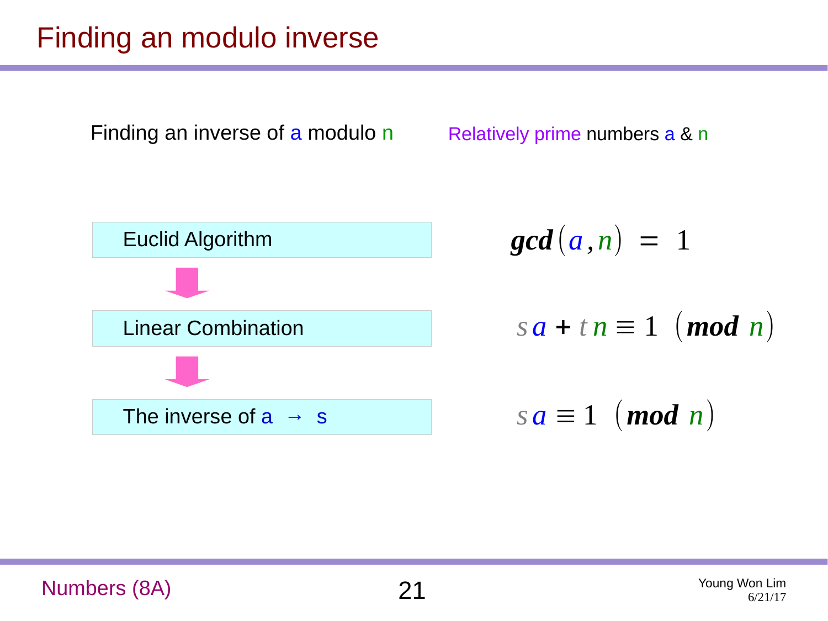# Finding an modulo inverse

Finding an inverse of a modulo n

Relatively prime numbers a & n



$$
\gcd(a,n) = 1
$$

 $sa + t n \equiv 1 \pmod{n}$ 

Numbers (8A) 21 Young Won Lim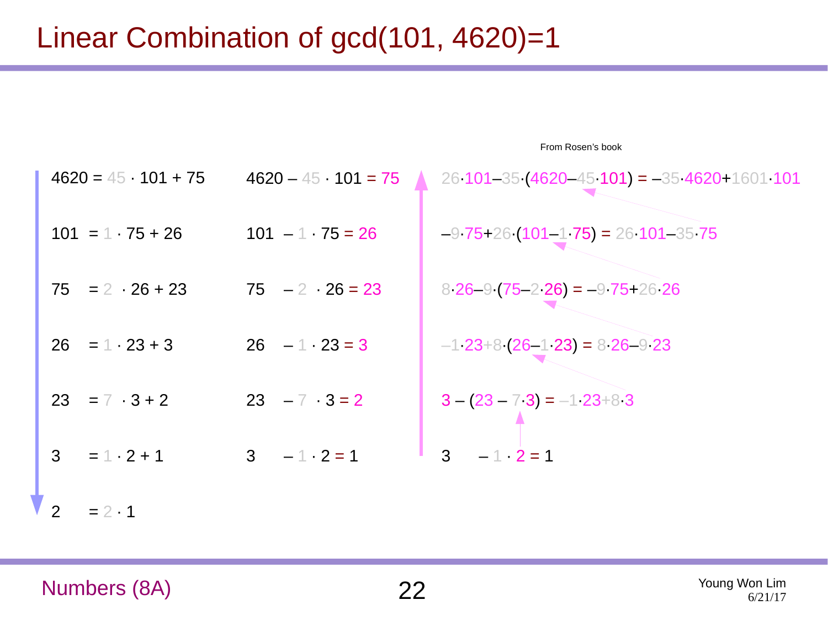# Linear Combination of gcd(101, 4620)=1

| $4620 = 45 \cdot 101 + 75$ |                         | $4620 - 45 \cdot 101 = 75$ 26 101-35 (4620-45 101) = -35 4620+1601 101 |
|----------------------------|-------------------------|------------------------------------------------------------------------|
| $101 = 1 \cdot 75 + 26$    | $101 - 1 \cdot 75 = 26$ | $-9$ 75+26 (101-1 75) = 26 101-35 75                                   |
| $75 = 2 \cdot 26 + 23$     | $75 - 2 \cdot 26 = 23$  | $826 - 9(75 - 226) = -975 + 2626$                                      |
| $26 = 1 \cdot 23 + 3$      | $26 - 1 \cdot 23 = 3$   | $-1$ 23+8 (26-1 23) = 8 26-9 23                                        |
| $23 = 7 \cdot 3 + 2$       | $23 - 7$ $3 = 2$        | $3 - (23 - 73) = -123 + 83$                                            |
| $3 = 1 \cdot 2 + 1$        | $3 - 1 \cdot 2 = 1$     | $3 - 1$ $2 = 1$                                                        |
| 2<br>$= 2 \cdot 1$         |                         |                                                                        |

From Rosen's book

Numbers (8A) 22 Young Won Lim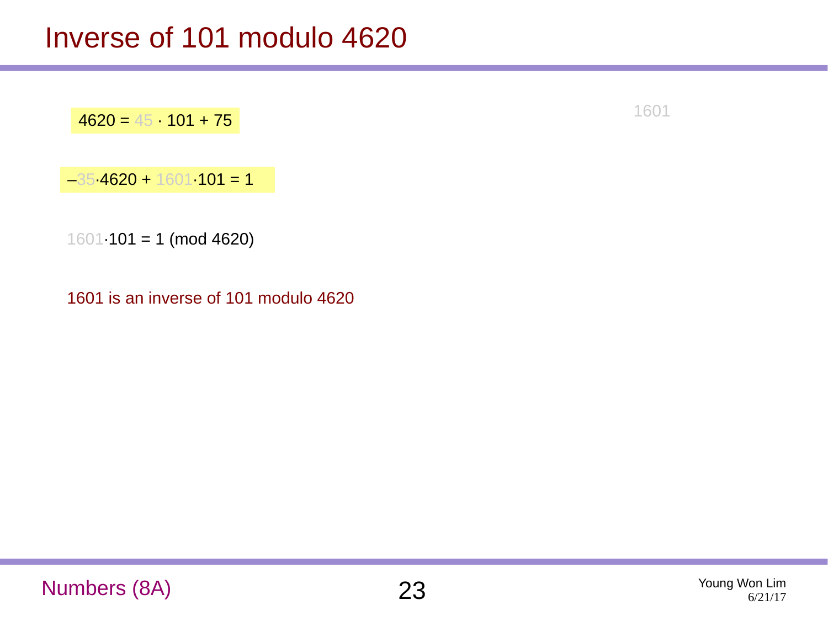$-35.4620 + 1601.101 = 1$ 

 $1601·101 = 1$  (mod 4620)

1601 is an inverse of 101 modulo 4620

 $4620 = 45 \cdot 101 + 75$ 

Numbers (8A) 23 Young Won Lim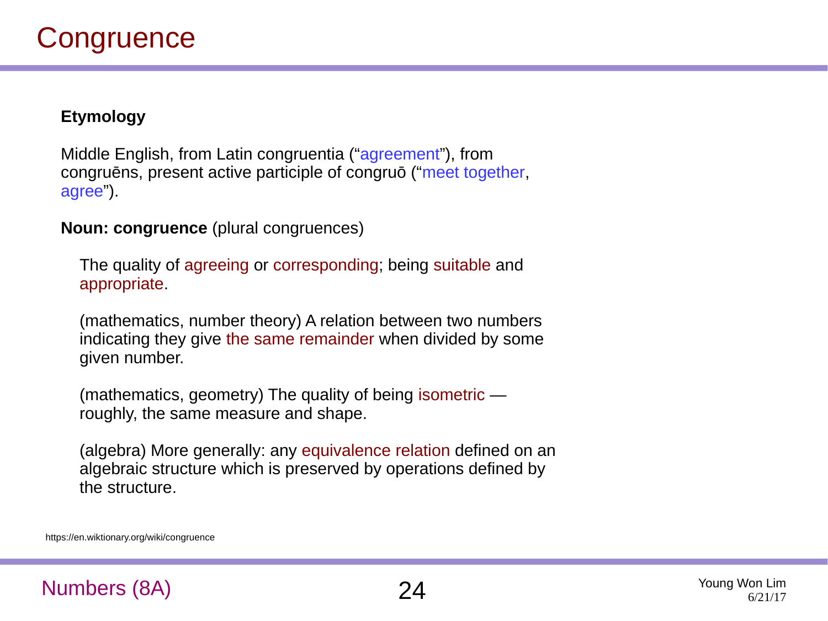#### **Etymology**

Middle English, from Latin congruentia ("agreement"), from congruēns, present active participle of congruō ("meet together, agree").

**Noun: congruence** (plural congruences)

The quality of agreeing or corresponding; being suitable and appropriate.

(mathematics, number theory) A relation between two numbers indicating they give the same remainder when divided by some given number.

(mathematics, geometry) The quality of being isometric roughly, the same measure and shape.

(algebra) More generally: any equivalence relation defined on an algebraic structure which is preserved by operations defined by the structure.

https://en.wiktionary.org/wiki/congruence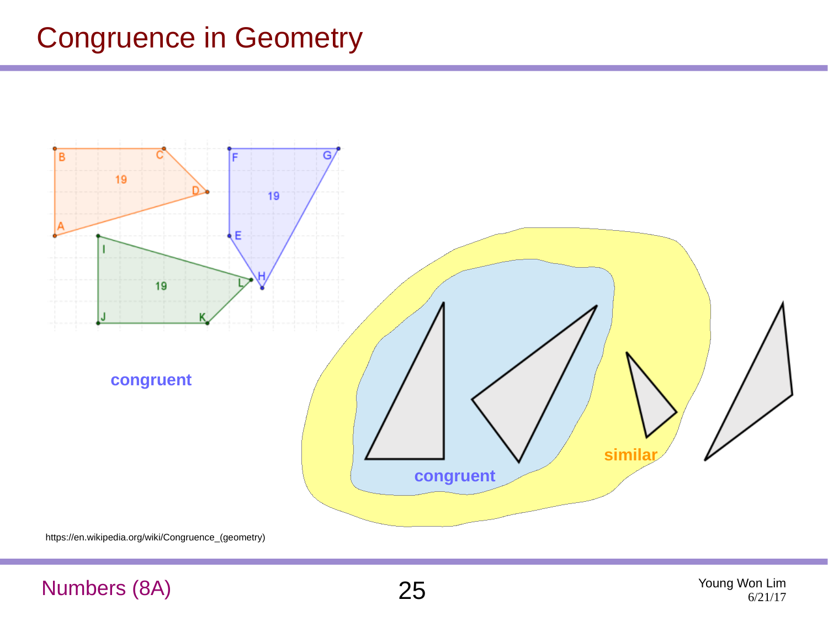#### Congruence in Geometry



https://en.wikipedia.org/wiki/Congruence\_(geometry)

#### Numbers (8A) 25 Young Won Lim

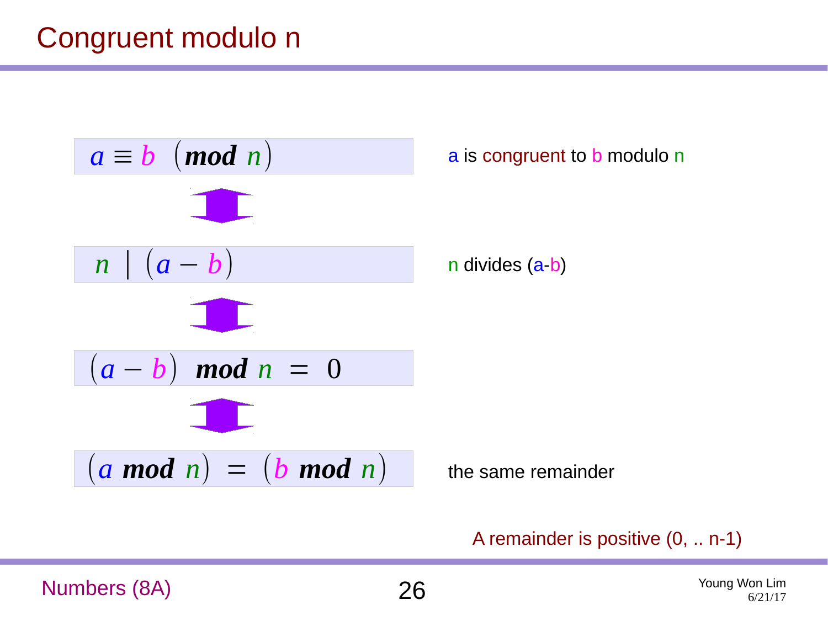#### Congruent modulo n



A remainder is positive (0, .. n-1)

Numbers (8A) 26 Young Won Lim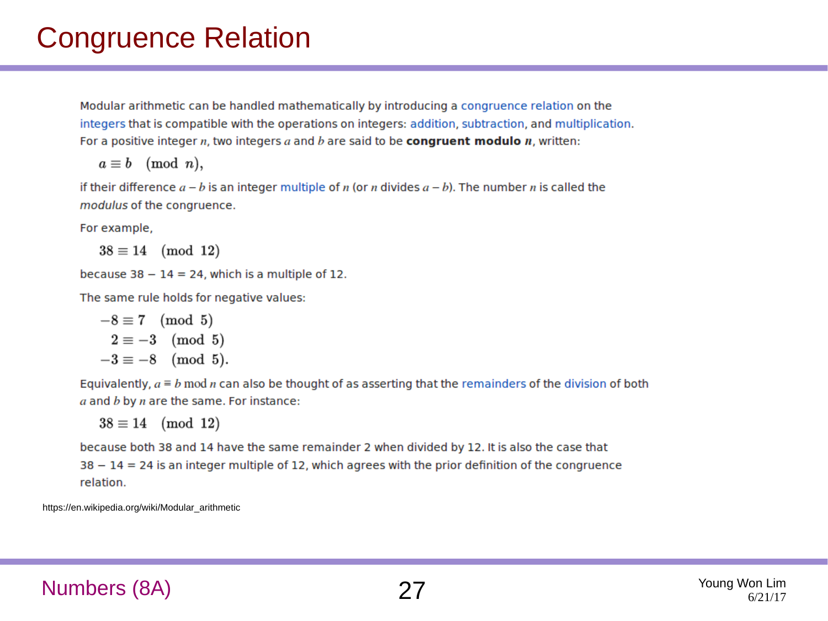#### Congruence Relation

Modular arithmetic can be handled mathematically by introducing a congruence relation on the integers that is compatible with the operations on integers: addition, subtraction, and multiplication. For a positive integer  $n$ , two integers  $a$  and  $b$  are said to be **congruent modulo**  $n$ , written:

$$
a\equiv b\pmod{n},
$$

if their difference  $a - b$  is an integer multiple of n (or n divides  $a - b$ ). The number n is called the modulus of the congruence.

For example,

 $38 \equiv 14 \pmod{12}$ 

because  $38 - 14 = 24$ , which is a multiple of 12.

The same rule holds for negative values:

$$
-8 \equiv 7 \pmod{5}
$$
  
2 \equiv -3 \pmod{5}  
-3 \equiv -8 \pmod{5}.

Equivalently,  $a \equiv b \mod n$  can also be thought of as asserting that the remainders of the division of both  $a$  and  $b$  by  $n$  are the same. For instance:

 $38 \equiv 14 \pmod{12}$ 

because both 38 and 14 have the same remainder 2 when divided by 12. It is also the case that  $38 - 14 = 24$  is an integer multiple of 12, which agrees with the prior definition of the congruence relation.

https://en.wikipedia.org/wiki/Modular\_arithmetic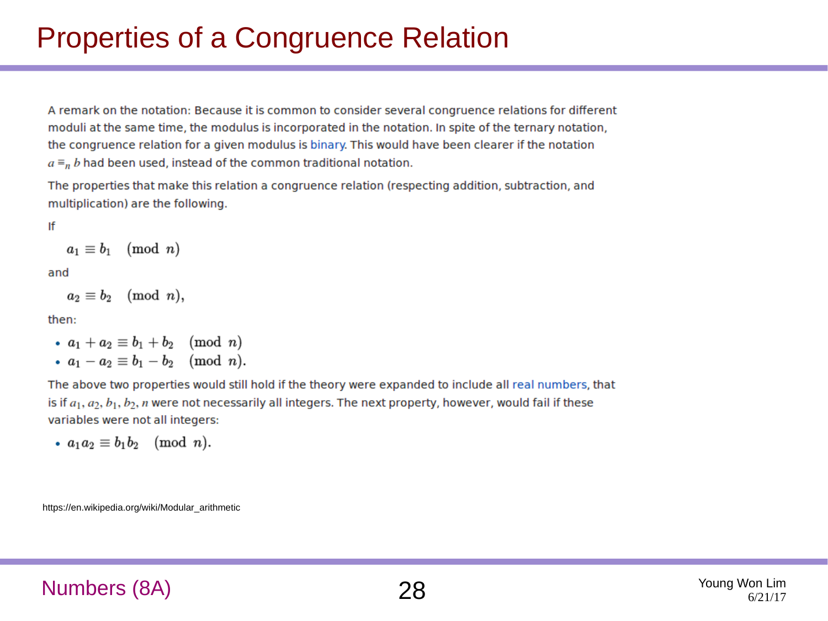# Properties of a Congruence Relation

A remark on the notation: Because it is common to consider several congruence relations for different moduli at the same time, the modulus is incorporated in the notation. In spite of the ternary notation, the congruence relation for a given modulus is binary. This would have been clearer if the notation  $a \equiv_n b$  had been used, instead of the common traditional notation.

The properties that make this relation a congruence relation (respecting addition, subtraction, and multiplication) are the following.

If

$$
a_1 \equiv b_1 \pmod n
$$

and

$$
a_2\equiv b_2\pmod{n},
$$

then:

•  $a_1 + a_2 \equiv b_1 + b_2 \pmod{n}$ •  $a_1 - a_2 \equiv b_1 - b_2 \pmod{n}$ .

The above two properties would still hold if the theory were expanded to include all real numbers, that is if  $a_1, a_2, b_1, b_2, n$  were not necessarily all integers. The next property, however, would fail if these variables were not all integers:

$$
\bullet \ \ a_1a_2\equiv b_1b_2 \pmod{n}.
$$

https://en.wikipedia.org/wiki/Modular\_arithmetic

#### Numbers (8A) 28 Young Won Lim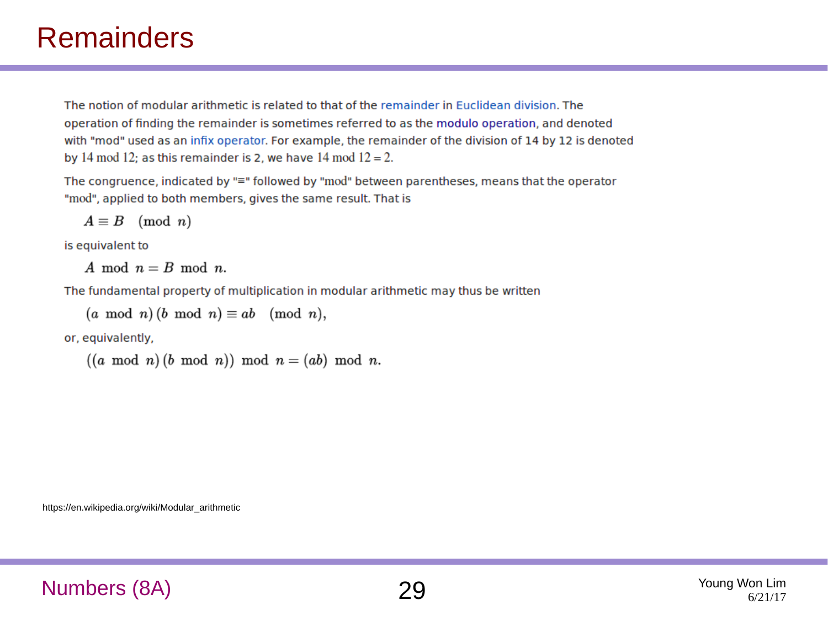#### **Remainders**

The notion of modular arithmetic is related to that of the remainder in Euclidean division. The operation of finding the remainder is sometimes referred to as the modulo operation, and denoted with "mod" used as an infix operator. For example, the remainder of the division of 14 by 12 is denoted by 14 mod 12; as this remainder is 2, we have 14 mod  $12 = 2$ .

The congruence, indicated by "=" followed by "mod" between parentheses, means that the operator "mod", applied to both members, gives the same result. That is

$$
A\equiv B\pmod n
$$

is equivalent to

A mod  $n = B$  mod n.

The fundamental property of multiplication in modular arithmetic may thus be written

 $(a \mod n)(b \mod n) \equiv ab \pmod{n},$ 

or, equivalently,

 $((a \mod n)(b \mod n)) \mod n = (ab) \mod n.$ 

https://en.wikipedia.org/wiki/Modular\_arithmetic

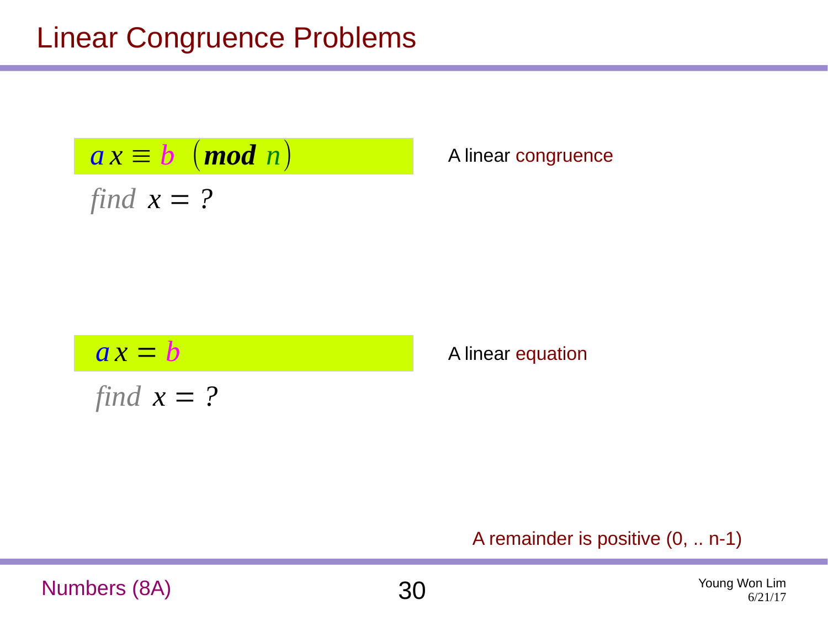### Linear Congruence Problems

$$
ax \equiv b \pmod{n}
$$

*find*  $x = ?$ 

*a x* ≡ *b* (*mod n*) A linear congruence

$$
ax = b
$$
  
find  $x = ?$ 

**A** linear equation

#### A remainder is positive (0, .. n-1)

Numbers (8A) 30 Young Won Lim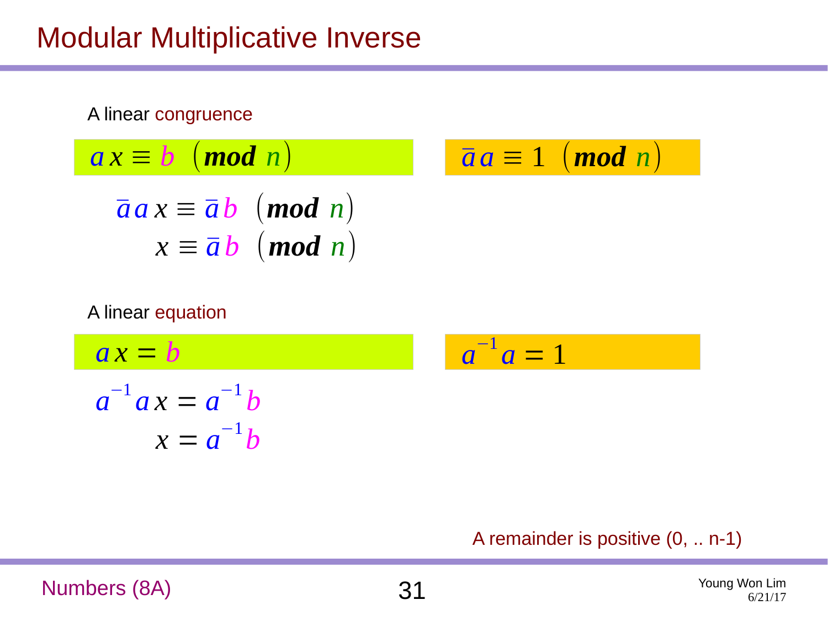# Modular Multiplicative Inverse



#### A linear equation

$$
ax = b
$$
  
\n
$$
a^{-1}ax = a^{-1}b
$$
  
\n
$$
a = a^{-1}b
$$
  
\n
$$
a = a^{-1}b
$$

#### A remainder is positive (0, .. n-1)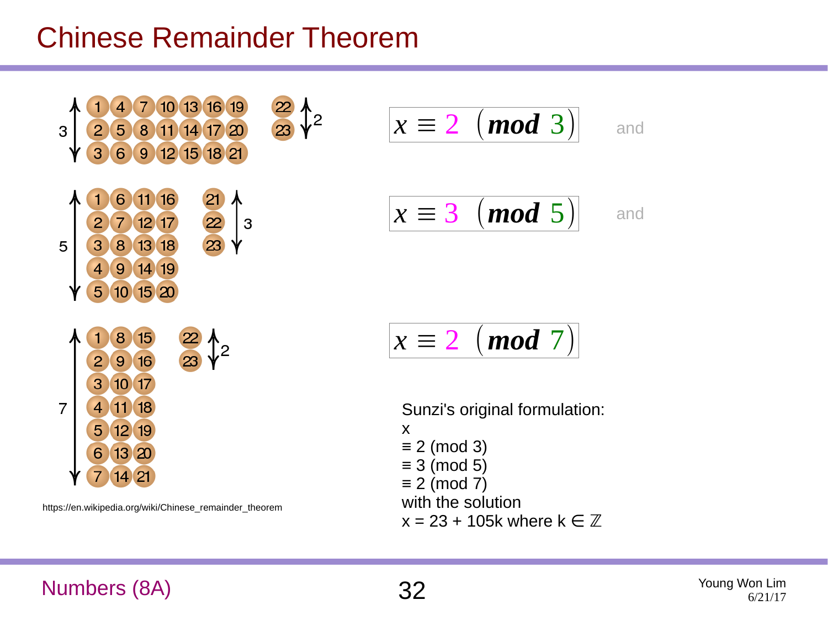#### Chinese Remainder Theorem



https://en.wikipedia.org/wiki/Chinese\_remainder\_theorem

$$
x \equiv 2 \pmod{3}
$$
 and  

$$
x \equiv 3 \pmod{5}
$$

$$
x \equiv 2 \pmod{7}
$$

Sunzi's original formulation: x ≡ 2 (mod 3)  $\equiv$  3 (mod 5)  $\equiv$  2 (mod 7) with the solution  $x = 23 + 105k$  where  $k \in \mathbb{Z}$ 

#### Numbers (8A) 32 Young Won Lim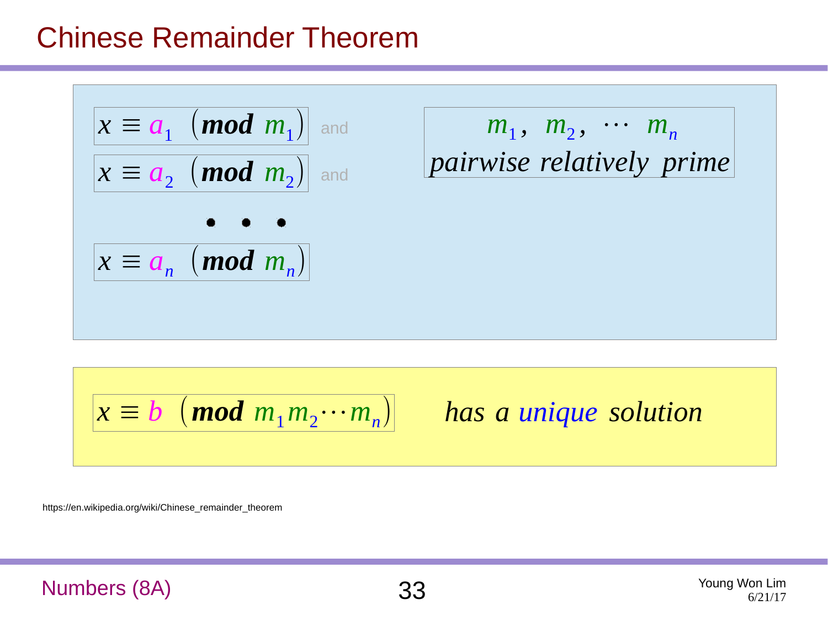#### Chinese Remainder Theorem



$$
x \equiv b \pmod{m_1 m_2 \cdots m_n}
$$

*has a unique solution*

https://en.wikipedia.org/wiki/Chinese\_remainder\_theorem

#### Numbers (8A) 33 Young Won Lim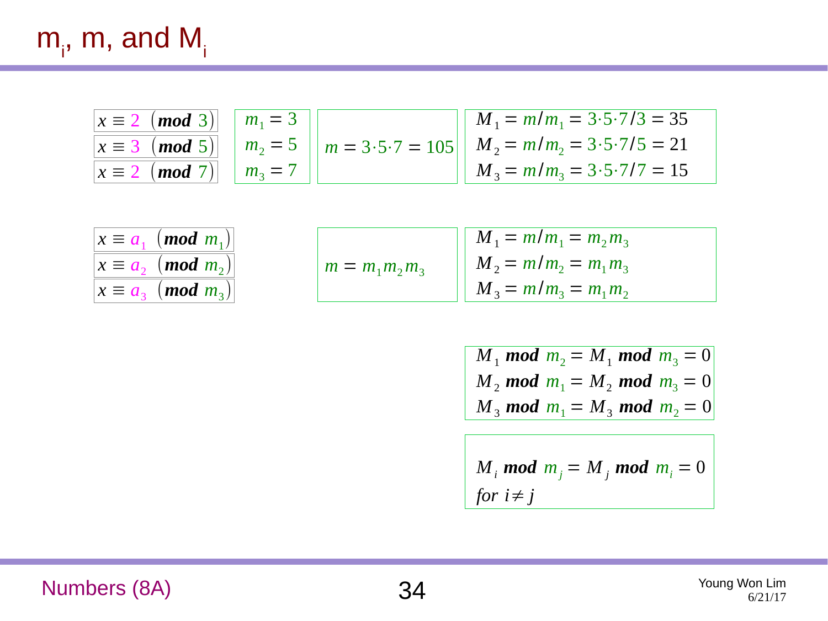# $m_{i}^{\phantom{\dag}},$  m, and M $_{i}^{\phantom{\dag}}$

| $x \equiv 2 \pmod{3}$   $m_1 = 3$ |  | $\left  \right $ $M_1 = m/m_1 = 3.5.7/3 = 35$                                        |
|-----------------------------------|--|--------------------------------------------------------------------------------------|
|                                   |  | $x \equiv 3 \pmod{5}$   $m_2 = 5$   $m = 3.5.7 = 105$   $M_2 = m/m_2 = 3.5.7/5 = 21$ |
| $x \equiv 2 \pmod{7}$   $m_3 = 7$ |  | $M_3 = m/m_3 = 3.5.7/7 = 15$                                                         |

| $x \equiv a_1 \pmod{m_1}$     |
|-------------------------------|
| $x \equiv a_{2} \pmod{m_{2}}$ |
| $x \equiv a_{3} \pmod{m_{3}}$ |

|                   | $M_1 = m/m_1 = m_2 m_3$ |
|-------------------|-------------------------|
| $m = m_1 m_2 m_3$ | $M_2 = m/m_2 = m_1 m_3$ |
|                   | $M_3 = m/m_3 = m_1 m_2$ |

$$
M_1 \text{ mod } m_2 = M_1 \text{ mod } m_3 = 0
$$
  
\n $M_2 \text{ mod } m_1 = M_2 \text{ mod } m_3 = 0$   
\n $M_3 \text{ mod } m_1 = M_3 \text{ mod } m_2 = 0$ 

$$
M_i \text{ mod } m_j = M_j \text{ mod } m_i = 0
$$
  
for  $i \neq j$ 

Numbers (8A) 34 Young Won Lim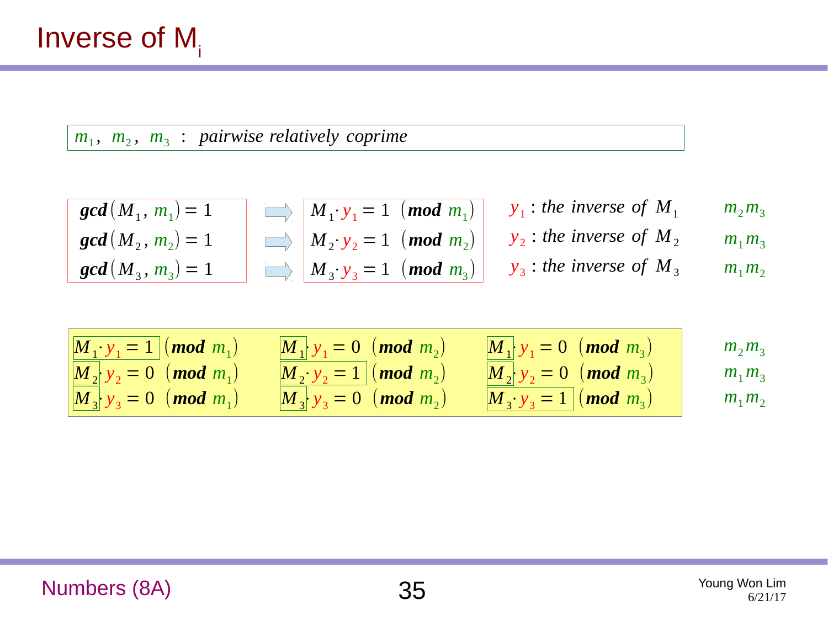$m_1$ ,  $m_2$ ,  $m_3$ : pairwise relatively coprime

| $gcd(M_1, m_1) = 1$ | $M_1 \cdot y_1 = 1$ | $mod m_1$   | $y_1$ : the inverse of $M_1$ | $m_2 m_3$ |
|---------------------|---------------------|-------------|------------------------------|-----------|
| $gcd(M_2, m_2) = 1$ | $M_2 \cdot y_2 = 1$ | $(mod m_2)$ | $y_2$ : the inverse of $M_2$ | $m_1 m_3$ |
| $gcd(M_3, m_3) = 1$ | $M_3 \cdot y_3 = 1$ | $(mod m_3)$ | $y_3$ : the inverse of $M_3$ | $m_1 m_2$ |

| \n $M_1 \cdot y_1 = 1$ (mod $m_1$ )<br>\n $M_2 \cdot y_2 = 0$ (mod $m_1$ )<br>\n $M_3 \cdot y_3 = 0$ (mod $m_1$ )<br>\n $M_3 \cdot y_4 = 0$ (mod $m_2$ )<br>\n $M_1 \cdot y_1 = 0$ (mod $m_3$ )<br>\n $M_2 \cdot y_2 = 1$ (mod $m_2$ )<br>\n $M_3 \cdot y_3 = 0$ (mod $m_3$ )<br>\n $M_3 \cdot y_4 = 0$ (mod $m_3$ )<br>\n $M_3 \cdot y_5 = 1$ (mod $m_3$ )<br>\n $M_1 \cdot y_1 = 0$ (mod $m_3$ )<br>\n $M_2 \cdot y_2 = 0$ (mod $m_3$ )<br>\n $M_3 \cdot y_3 = 1$ (mod $m_3$ )<br>\n $M_1 \cdot y_4 = 0$ (mod $m_4$ )<br>\n $M_2 \cdot y_5 = 0$ (mod $m_5$ )<br>\n $M_3 \cdot y_6 = 1$ (mod $m_3$ )<br>\n $M_1 \cdot y_7 = 0$ (mod $m_7$ )<br>\n $M_2 \cdot y_8 = 0$ (mod $m_7$ )<br>\n $M_3 \cdot y_9 = 0$ (mod $m_8$ )<br>\n $M_3 \cdot y_9 = 0$ (mod $m_9$ )<br>\n $M_3 \cdot y_9 = 0$ (mod $m_1$ )<br>\n $M_3 \cdot y_9 = 0$ (mod $m_1$ )<br>\n $M_3 \cdot y_9 = 0$ (mod $m_1$ )<br>\n $M_3 \cdot y_9 = 0$ (mod $m_1$ )<br>\n $M_3 \cdot y_9 = 0$ (mod $m_1$ )<br>\n $M_3 \cdot y_9 = 0$ (mod $m_1$ )<br>\n $M$ |
|-----------------------------------------------------------------------------------------------------------------------------------------------------------------------------------------------------------------------------------------------------------------------------------------------------------------------------------------------------------------------------------------------------------------------------------------------------------------------------------------------------------------------------------------------------------------------------------------------------------------------------------------------------------------------------------------------------------------------------------------------------------------------------------------------------------------------------------------------------------------------------------------------------------------------------------------------------------------------------------------------------------------------|
|-----------------------------------------------------------------------------------------------------------------------------------------------------------------------------------------------------------------------------------------------------------------------------------------------------------------------------------------------------------------------------------------------------------------------------------------------------------------------------------------------------------------------------------------------------------------------------------------------------------------------------------------------------------------------------------------------------------------------------------------------------------------------------------------------------------------------------------------------------------------------------------------------------------------------------------------------------------------------------------------------------------------------|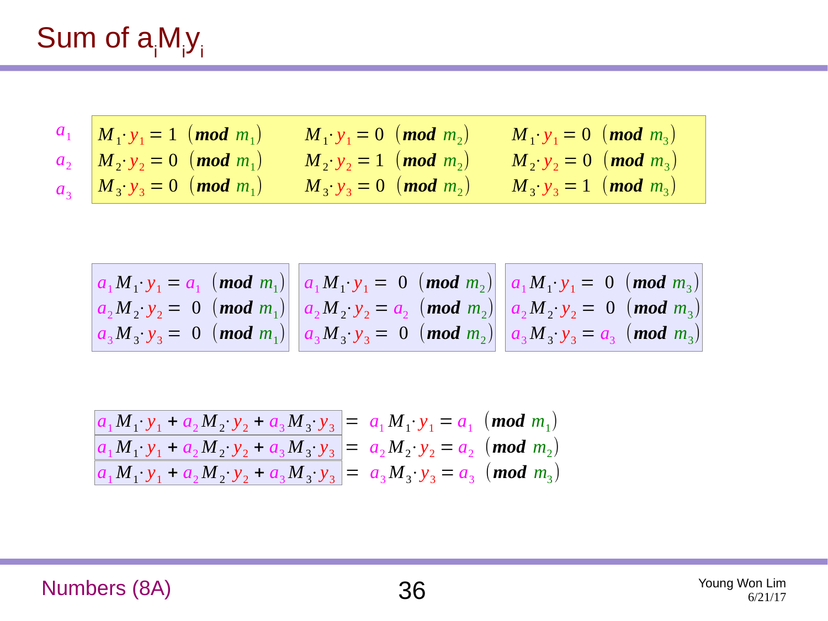# Sum of  $a_iM_iy_i$

| $a_1$ $M_1 \cdot y_1 = 1$ ( <b>mod</b> $m_1$ )  | $ M_1 \cdot y_1 = 0 \pmod{m_2}$ | $M_1 \cdot y_1 = 0 \pmod{m_3}$  |
|-------------------------------------------------|---------------------------------|---------------------------------|
| $a_2 \left(M_2 \cdot y_2 = 0 \right) (mod m_1)$ | $M_2 \cdot y_2 = 1 \pmod{m_2}$  | $M_2 \cdot y_2 = 0 \pmod{m_3}$  |
| $a_3$ $M_3 \cdot y_3 = 0$ ( <b>mod</b> $m_1$ )  | $M_3 \cdot y_3 = 0 \pmod{m_2}$  | $ M_3 \cdot y_3 = 1 \pmod{m_3}$ |

$$
\begin{array}{c|c|c|c|c|c|c|c|c} a_1 M_1 \cdot y_1 &=& a_1 \pmod{m_1} & a_1 M_1 \cdot y_1 &=& 0 \pmod{m_2} & a_1 M_1 \cdot y_1 &=& 0 \pmod{m_3} \\ a_2 M_2 \cdot y_2 &=& 0 \pmod{m_1} & a_2 M_2 \cdot y_2 &=& a_2 \pmod{m_2} & a_2 M_2 \cdot y_2 &=& 0 \pmod{m_3} \\ a_3 M_3 \cdot y_3 &=& 0 \pmod{m_1} & a_3 M_3 \cdot y_3 &=& 0 \pmod{m_2} & a_3 M_3 \cdot y_3 &=& a_3 \pmod{m_3} \end{array}
$$

$$
\frac{a_1 M_1 \cdot y_1 + a_2 M_2 \cdot y_2 + a_3 M_3 \cdot y_3}{a_1 M_1 \cdot y_1 + a_2 M_2 \cdot y_2 + a_3 M_3 \cdot y_3} = \frac{a_1 M_1 \cdot y_1}{a_2 M_2 \cdot y_2} = \frac{a_2 M_2 \cdot y_2}{a_2 M_2 \cdot y_2} = \frac{a_2 M_2 \cdot y_2}{a_3 M_3 \cdot y_3} = \frac{a_1 M_1 \cdot y_1}{a_3 M_3 \cdot y_3} = \frac{a_2 M_2 \cdot y_2}{a_3 M_3 \cdot y_3} = \frac{a_3 M_3 \cdot y_3}{a_3 M_3 \cdot y_3} = \frac{a_1 M_1 \cdot y_1}{a_3 M_3 \cdot y_3} = \frac{a_2 M_2 \cdot y_2}{a_3 M_3 \cdot y_3} = \frac{a_3 M_3 \cdot y_3}{a_3 M_3 \cdot y_3} = \frac{a_1 M_1 \cdot y_1}{a_3 M_3 \cdot y_3} = \frac{a_1 M_1 \cdot y_1}{a_3 M_3 \cdot y_3} = \frac{a_1 M_1 \cdot y_1}{a_3 M_3 \cdot y_3} = \frac{a_1 M_1 \cdot y_1}{a_3 M_3 \cdot y_3} = \frac{a_1 M_1 \cdot y_1}{a_3 M_3 \cdot y_3} = \frac{a_1 M_1 \cdot y_1}{a_3 M_3 \cdot y_3} = \frac{a_1 M_1 \cdot y_1}{a_3 M_3 \cdot y_3} = \frac{a_1 M_1 \cdot y_1}{a_3 M_3 \cdot y_3} = \frac{a_1 M_1 \cdot y_1}{a_3 M_3 \cdot y_3} = \frac{a_1 M_1 \cdot y_1}{a_3 M_3 \cdot y_3} = \frac{a_1 M_1 \cdot y_1}{a_3 M_3 \cdot y_3} = \frac{a_1 M_1 \cdot y_1}{a_3 M_3 \cdot y_3} = \frac{a_1 M_1 \cdot y_1}{a_3 M_3 \cdot y_3} = \frac{a_1 M_1 \cdot y_1}{a_3 M_3 \cdot y_3} = \frac{a_1 M_1 \cdot y_1}{a_3 M_3 \cdot y_3} = \frac{a_1 M_1 \cdot y
$$

Numbers (8A) 36 Young Won Lim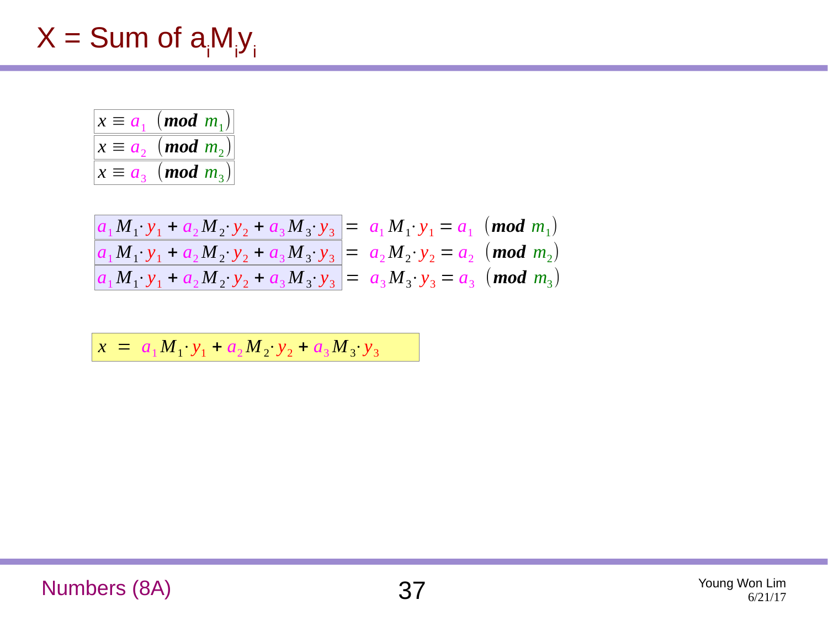# $X = Sum$  of  $a_iM_iy_i$

| $x \equiv a_1 \pmod{m_1}$                                             |
|-----------------------------------------------------------------------|
| $x \equiv a_2 \pmod{m_2}$                                             |
| $x \equiv a_{\scriptscriptstyle{2}} \pmod{m_{\scriptscriptstyle{2}}}$ |

| $ a_1M_1 \cdot y_1 + a_2M_2 \cdot y_2 + a_3M_3 \cdot y_3  = a_1M_1 \cdot y_1 = a_1$ (mod $m_1$ ) |  |  |
|--------------------------------------------------------------------------------------------------|--|--|
| $ a_1M_1 \cdot y_1 + a_2M_2 \cdot y_2 + a_3M_3 \cdot y_3  = a_2M_2 \cdot y_2 = a_2$ (mod $m_2$ ) |  |  |
| $ a_1M_1 \cdot y_1 + a_2M_2 \cdot y_2 + a_3M_3 \cdot y_3  = a_3M_3 \cdot y_3 = a_3$ (mod $m_3$ ) |  |  |

 $x = a_1 M_1 \cdot y_1 + a_2 M_2 \cdot y_2 + a_3 M_3 \cdot y_3$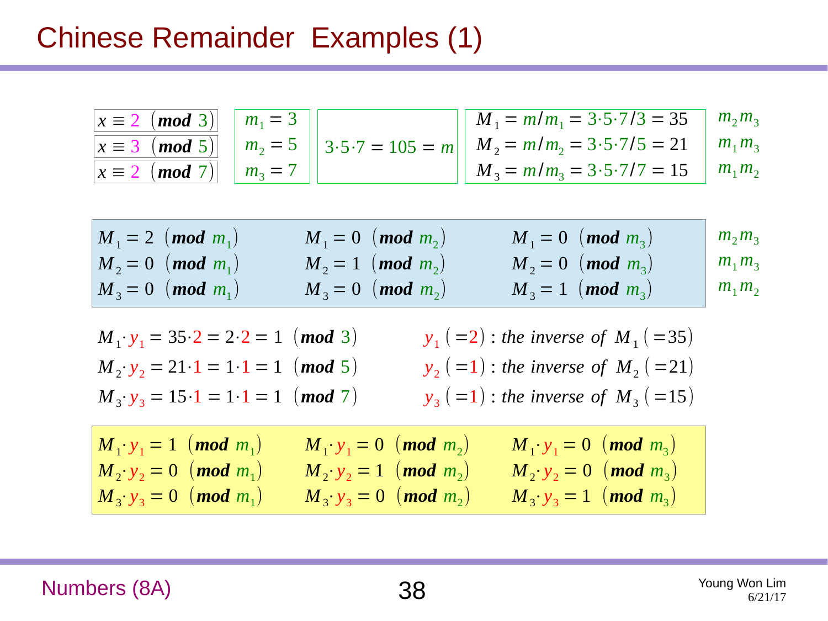#### Chinese Remainder Examples (1)

| $ x \equiv 2 \pmod{3}$ $ m_1 = 3 $ |  | $M_1 = m/m_1 = 3.5.7/3 = 35$ $m_2 m_3$                                                               |  |
|------------------------------------|--|------------------------------------------------------------------------------------------------------|--|
|                                    |  | $ x \equiv 3 \pmod{5} $   $m_2 = 5$   $ 3.5.7 = 105 = m $   $M_2 = m/m_2 = 3.5.7/5 = 21$   $m_1 m_3$ |  |
| $ x \equiv 2 \pmod{7}$   $m_3 = 7$ |  | $M_3 = m/m_3 = 3.5.7/7 = 15$ $m_1 m_2$                                                               |  |

| $M_1 = 2$ (mod $m_1$ ) | $M_1 = 0 \pmod{m_2}$   | $M_1 = 0 \pmod{m_3}$   | $\mid m_2 m_3$ |
|------------------------|------------------------|------------------------|----------------|
| $M_2 = 0$ (mod $m_1$ ) | $M_2 = 1$ (mod $m_2$ ) | $M_2 = 0$ (mod $m_3$ ) | $\mid m_1 m_3$ |
| $M_3 = 0$ (mod $m_1$ ) | $M_3 = 0$ (mod $m_2$ ) | $M_3 = 1$ (mod $m_3$ ) | $\mid m_1 m_2$ |

| $M_1 \cdot y_1 = 35 \cdot 2 = 2 \cdot 2 = 1 \pmod{3}$ | $y_1 (=2)$ : the inverse of $M_1 (=35)$ |
|-------------------------------------------------------|-----------------------------------------|
| $M_2 \cdot y_2 = 21 \cdot 1 = 1 \cdot 1 = 1 \pmod{5}$ | $y_2 (=1)$ : the inverse of $M_2 (=21)$ |
| $M_3 \cdot y_3 = 15 \cdot 1 = 1 \cdot 1 = 1$ (mod 7)  | $y_3 (=1)$ : the inverse of $M_3 (=15)$ |

| $M_1 \cdot y_1 = 1 \pmod{m_1}$   | $M_1 \cdot y_1 = 0$ (mod $m_2$ ) | $M_1 \cdot y_1 = 0 \pmod{m_3}$ |
|----------------------------------|----------------------------------|--------------------------------|
| $M_2 \cdot y_2 = 0$ (mod $m_1$ ) | $ M_2 \cdot y_2 = 1 \pmod{m_2}$  | $M_2 \cdot y_2 = 0 \pmod{m_3}$ |
| $M_3 \cdot y_3 = 0 \pmod{m_1}$   | $ M_3 \cdot y_3 = 0 \pmod{m_2}$  | $M_3 \cdot y_3 = 1 \pmod{m_3}$ |

Numbers (8A) 38 Young Won Lim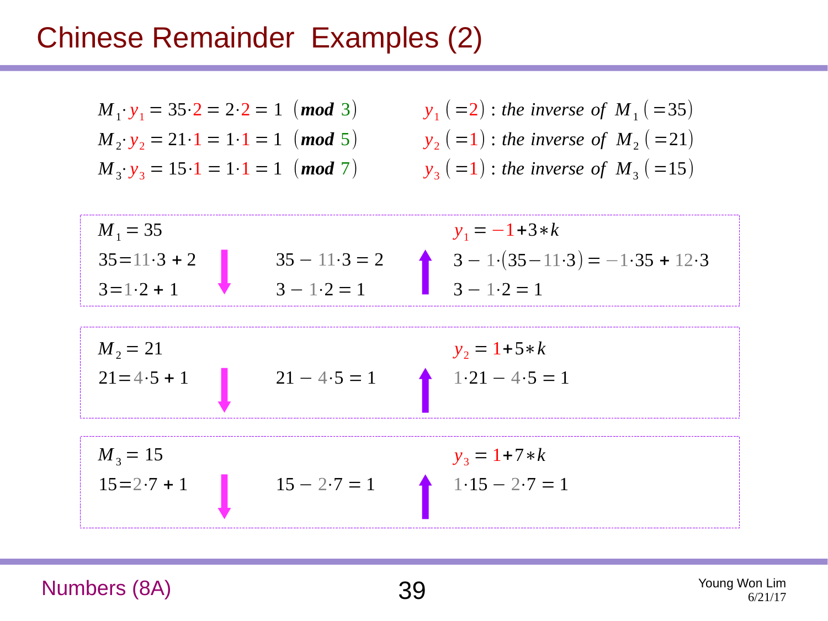#### Chinese Remainder Examples (2)

 $M_1 \cdot y_1 = 35 \cdot 2 = 2 \cdot 2 = 1 \pmod{3}$  $M_2: y_2 = 21 \cdot 1 = 1 \cdot 1 = 1$  (*mod* 5)  $M_3 \cdot y_3 = 15 \cdot 1 = 1 \cdot 1 = 1$  (*mod* 7)

$$
y_1 (=2)
$$
: the inverse of  $M_1 (=35)$   
\n $y_2 (=1)$ : the inverse of  $M_2 (=21)$   
\n $y_3 (=1)$ : the inverse of  $M_3 (=15)$ 

$$
M_1 = 35
$$
  
\n
$$
35 = 11 \cdot 3 + 2
$$
  
\n
$$
35 - 11 \cdot 3 = 2
$$
  
\n
$$
3 - 1 \cdot 2 = 1
$$
  
\n
$$
3 - 1 \cdot 2 = 1
$$
  
\n
$$
3 - 1 \cdot 2 = 1
$$
  
\n
$$
3 - 1 \cdot 2 = 1
$$
  
\n
$$
3 - 1 \cdot 2 = 1
$$

$$
M_2 = 21
$$
  
21 = 4.5 + 1  

$$
21 - 4.5 = 1
$$
  

$$
y_2 = 1 + 5 * k
$$
  
1.21 - 4.5 = 1

$$
M_3 = 15
$$
  
15 = 2.7 + 1  

$$
15 - 2.7 = 1
$$
  

$$
y_3 = 1 + 7*k
$$
  
1.15 - 2.7 = 1

Numbers (8A) 39 Young Won Lim

6/21/17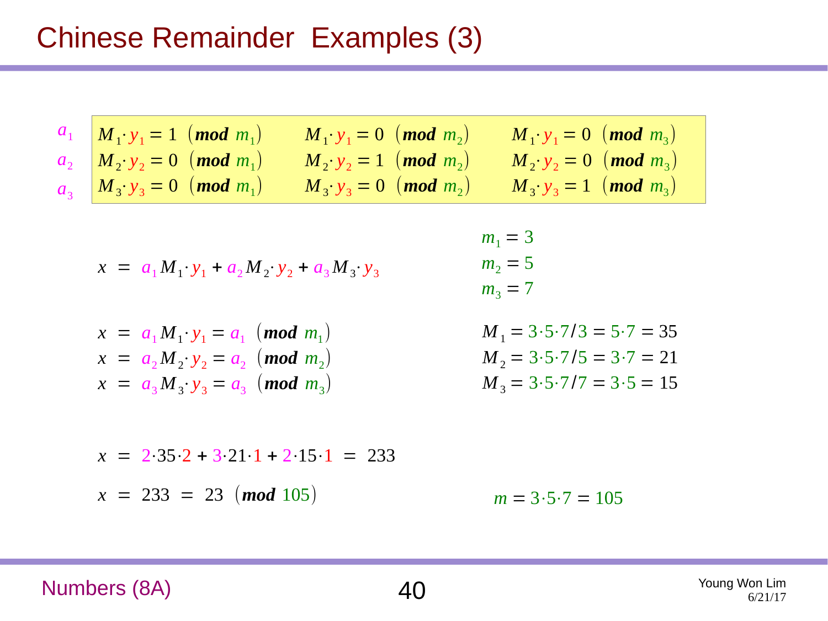### Chinese Remainder Examples (3)

| $a_1$ $M_1 \cdot y_1 = 1$ ( <b>mod</b> $m_1$ ) | $ M_1 \cdot y_1 = 0 \pmod{m_2}$                             | $ M_1 \cdot y_1 = 0 \pmod{m_3}$ |
|------------------------------------------------|-------------------------------------------------------------|---------------------------------|
| $a_2$ $M_2 \cdot y_2 = 0$ ( <b>mod</b> $m_1$ ) | $M_2 \cdot y_2 = 1 \pmod{m_2}$                              | $M_2 \cdot y_2 = 0 \pmod{m_3}$  |
| $a_3$ $M_3 \cdot y_3 = 0$ (mod $m_1$ )         | $\left(M_{3} \cdot y_{3} = 0 \right)$ (mod m <sub>2</sub> ) | $M_3 \cdot y_3 = 1 \pmod{m_3}$  |

$$
x = a_1 M_1 \cdot y_1 + a_2 M_2 \cdot y_2 + a_3 M_3 \cdot y_3
$$

$$
x = a_1 M_1 \cdot y_1 = a_1 \pmod{m_1}
$$
  
\n
$$
x = a_2 M_2 \cdot y_2 = a_2 \pmod{m_2}
$$
  
\n
$$
x = a_3 M_3 \cdot y_3 = a_3 \pmod{m_3}
$$

$$
m_1 = 3
$$
  
\n
$$
m_2 = 5
$$
  
\n
$$
m_3 = 7
$$

$$
M_1 = 3.5.7/3 = 5.7 = 35
$$
  
\n
$$
M_2 = 3.5.7/5 = 3.7 = 21
$$
  
\n
$$
M_3 = 3.5.7/7 = 3.5 = 15
$$

$$
x = 2.35.2 + 3.21 \cdot 1 + 2.15 \cdot 1 = 233
$$
  

$$
x = 233 = 23 \pmod{105}
$$
  

$$
m = 3.5.7 = 105
$$

Numbers (8A) 40 Young Won Lim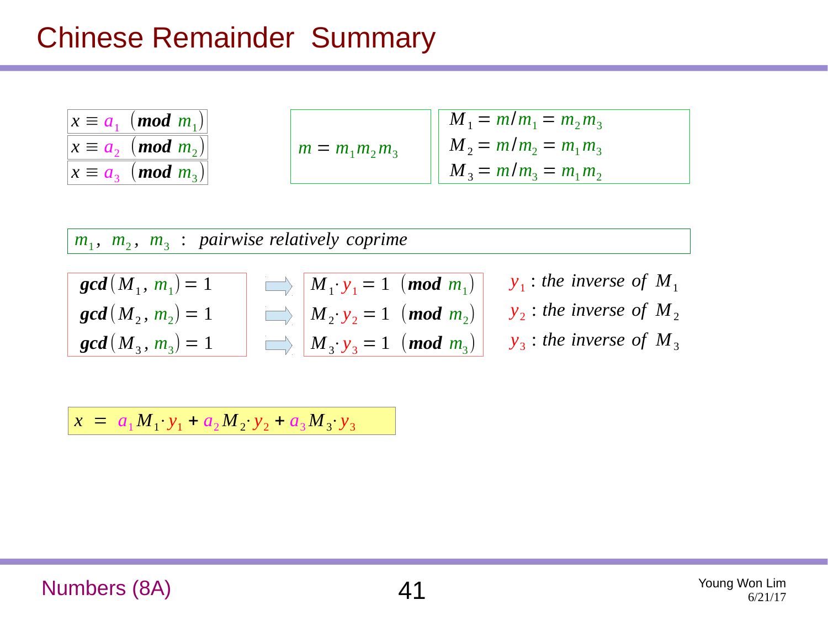#### Chinese Remainder Summary

| $x \equiv a_1 \pmod{m_1}$     |
|-------------------------------|
| $x \equiv a_2 \pmod{m_2}$     |
| $x \equiv a_{3} \pmod{m_{3}}$ |

|                   | $M_1 = m/m_1 = m_2 m_3$ |
|-------------------|-------------------------|
| $m = m_1 m_2 m_3$ | $M_2 = m/m_2 = m_1 m_3$ |
|                   | $M_3 = m/m_3 = m_1 m_2$ |

 $m_1$ ,  $m_2$ ,  $m_3$ : pairwise relatively coprime

| $gcd(M_1, m_1) = 1$ | $\implies$ $M_1 \cdot y_1 = 1 \pmod{m_1}$ |  |
|---------------------|-------------------------------------------|--|
| $gcd(M_2, m_2) = 1$ | $\implies$ $M_2 \cdot y_2 = 1 \pmod{m_2}$ |  |
| $gcd(M_3, m_3) = 1$ | $M_3 \cdot y_3 = 1 \pmod{m_3}$            |  |

| $y_1$ : the inverse of $M_1$ |
|------------------------------|
| $y_2$ : the inverse of $M_2$ |
| $y_3$ : the inverse of $M_3$ |

 $x = a_1 M_1 \cdot y_1 + a_2 M_2 \cdot y_2 + a_3 M_3 \cdot y_3$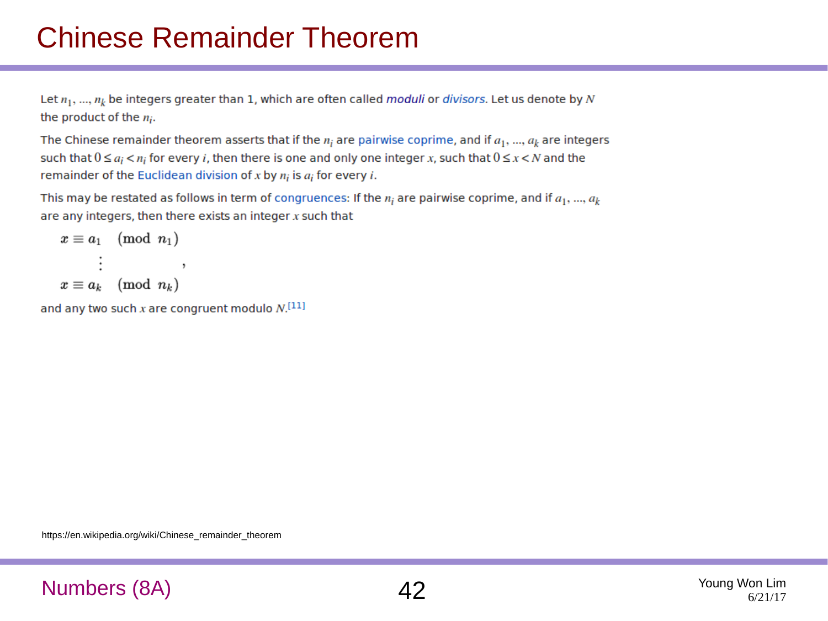# Chinese Remainder Theorem

Let  $n_1, ..., n_k$  be integers greater than 1, which are often called moduli or divisors. Let us denote by N the product of the  $n_i$ .

The Chinese remainder theorem asserts that if the  $n_i$  are pairwise coprime, and if  $a_1, ..., a_k$  are integers such that  $0 \le a_i < n_i$  for every *i*, then there is one and only one integer x, such that  $0 \le x < N$  and the remainder of the Euclidean division of x by  $n_i$  is  $a_i$  for every i.

This may be restated as follows in term of congruences: If the  $n_i$  are pairwise coprime, and if  $a_1, ..., a_k$ are any integers, then there exists an integer  $x$  such that

$$
\begin{aligned} x &\equiv a_1 \pmod{n_1} \\ &\vdots \\ x &\equiv a_k \pmod{n_k} \end{aligned},
$$

and any two such x are congruent modulo  $N$ .<sup>[11]</sup>

https://en.wikipedia.org/wiki/Chinese\_remainder\_theorem

#### Numbers (8A)  $42$  Young Won Lim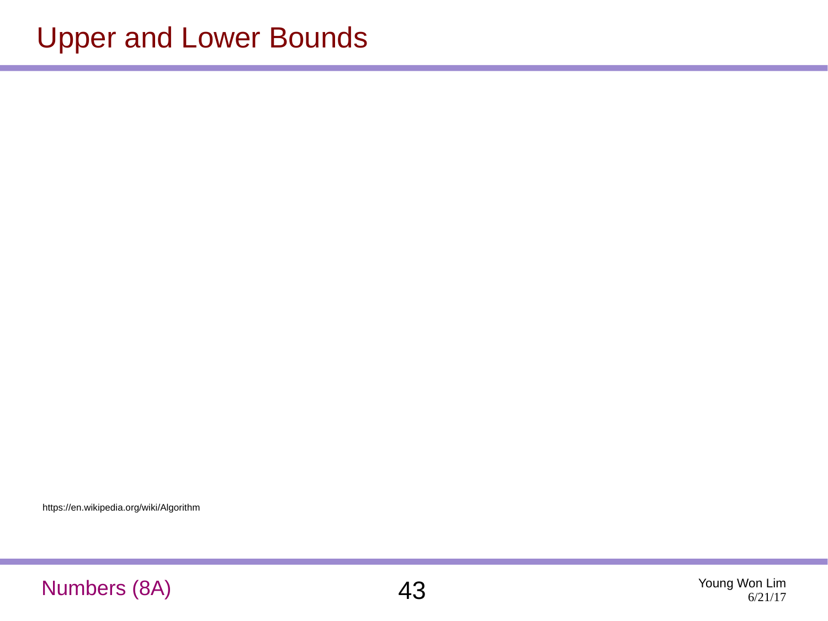https://en.wikipedia.org/wiki/Algorithm